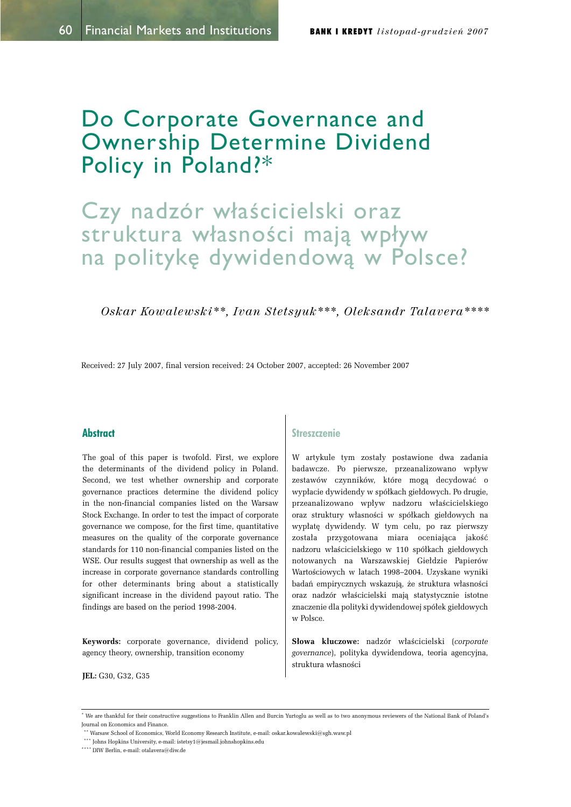## Do Corporate Governance and Ownership Determine Dividend Policy in Poland?\*

# Czy nadzór właścicielski oraz struktura własności mają wpływ na politykę dywidendową w Polsce?

Oskar Kowalewski<sup>\*\*</sup>, Ivan Stetsyuk<sup>\*\*\*</sup>, Oleksandr Talavera<sup>\*\*\*\*</sup>

Received: 27 July 2007, final version received: 24 October 2007, accepted: 26 November 2007

## **Abstract**

The goal of this paper is twofold. First, we explore the determinants of the dividend policy in Poland. Second, we test whether ownership and corporate governance practices determine the dividend policy in the non-financial companies listed on the Warsaw Stock Exchange. In order to test the impact of corporate governance we compose, for the first time, quantitative measures on the quality of the corporate governance standards for 110 non-financial companies listed on the WSE. Our results suggest that ownership as well as the increase in corporate governance standards controlling for other determinants bring about a statistically significant increase in the dividend payout ratio. The findings are based on the period 1998-2004.

**Keywords:** corporate governance, dividend policy, agency theory, ownership, transition economy

**JEL:** G30, G32, G35

## **Streszczenie**

W artykule tym zostały postawione dwa zadania badawcze. Po pierwsze, przeanalizowano wpływ zestawów czynników, które mogą decydować o wypłacie dywidendy w spółkach giełdowych. Po drugie, przeanalizowano wpływ nadzoru właścicielskiego oraz struktury własności w spółkach giełdowych na wypłatę dywidendy. W tym celu, po raz pierwszy została przygotowana miara oceniająca jakość nadzoru właścicielskiego w 110 spółkach giełdowych notowanych na Warszawskiej Giełdzie Papierów Wartościowych w latach 1998-2004. Uzyskane wyniki badań empirycznych wskazuja, że struktura własności oraz nadzór właścicielski maja statystycznie istotne znaczenie dla polityki dywidendowej spółek giełdowych w Polsce.

**63° Słowa kluczowe:** nadzór właścicielski (corporate governance), polityka dywidendowa, teoria agencyjna, struktura własności

<sup>\*</sup> We are thankful for their constructive suggestions to Franklin Allen and Burcin Yurtoglu as well as to two anonymous reviewers of the National Bank of Poland's Journal on Economics and Finance.

 $^{\circ}$  Warsaw School of Economics, World Economy Research Institute, e-mail: oskar.kowalewski@sgh.waw.pl

 $^{***}$  Johns Hopkins University, e-mail: istetsy1@jesmail.johnshopkins.edu

<sup>\*\*\*\*</sup> DIW Berlin, e-mail: otalavera@diw.de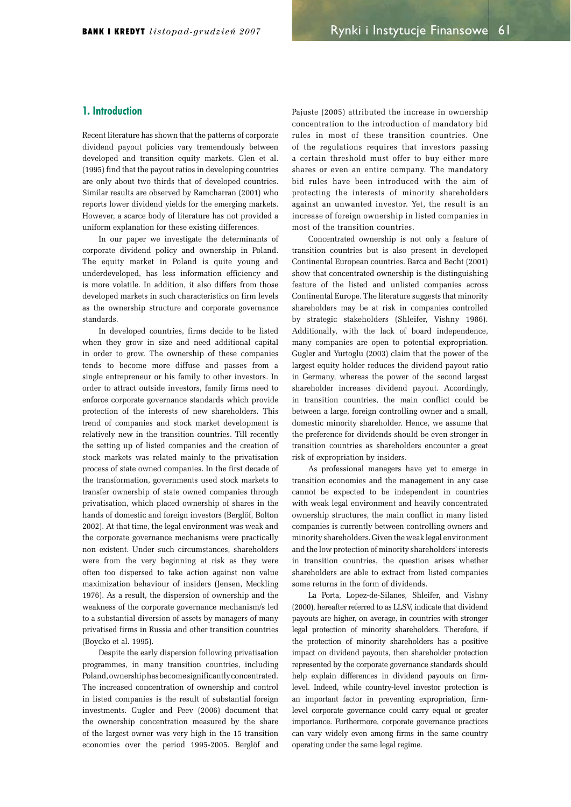## 1. Introduction

Recent literature has shown that the patterns of corporate dividend payout policies vary tremendously between developed and transition equity markets. Glen et al.  $(1995)$  find that the payout ratios in developing countries are only about two thirds that of developed countries. Similar results are observed by Ramcharran (2001) who reports lower dividend yields for the emerging markets. However, a scarce body of literature has not provided a uniform explanation for these existing differences.

In our paper we investigate the determinants of corporate dividend policy and ownership in Poland. The equity market in Poland is quite young and underdeveloped, has less information efficiency and is more volatile. In addition, it also differs from those developed markets in such characteristics on firm levels as the ownership structure and corporate governance standards.

In developed countries, firms decide to be listed when they grow in size and need additional capital in order to grow. The ownership of these companies tends to become more diffuse and passes from a single entrepreneur or his family to other investors. In order to attract outside investors, family firms need to enforce corporate governance standards which provide protection of the interests of new shareholders. This trend of companies and stock market development is relatively new in the transition countries. Till recently the setting up of listed companies and the creation of stock markets was related mainly to the privatisation process of state owned companies. In the first decade of the transformation, governments used stock markets to transfer ownership of state owned companies through privatisation, which placed ownership of shares in the hands of domestic and foreign investors (Berglöf, Bolton 2002). At that time, the legal environment was weak and the corporate governance mechanisms were practically non existent. Under such circumstances, shareholders were from the very beginning at risk as they were often too dispersed to take action against non value maximization behaviour of insiders (Jensen, Meckling 1976). As a result, the dispersion of ownership and the weakness of the corporate governance mechanism/s led to a substantial diversion of assets by managers of many privatised firms in Russia and other transition countries (Boycko et al. 1995).

Despite the early dispersion following privatisation programmes, in many transition countries, including Poland, ownership has become significantly concentrated. The increased concentration of ownership and control in listed companies is the result of substantial foreign investments. Gugler and Peev (2006) document that the ownership concentration measured by the share of the largest owner was very high in the 15 transition economies over the period 1995-2005. Berglöf and Pajuste (2005) attributed the increase in ownership concentration to the introduction of mandatory bid rules in most of these transition countries. One of the regulations requires that investors passing a certain threshold must offer to buy either more shares or even an entire company. The mandatory bid rules have been introduced with the aim of protecting the interests of minority shareholders against an unwanted investor. Yet, the result is an increase of foreign ownership in listed companies in most of the transition countries.

Concentrated ownership is not only a feature of transition countries but is also present in developed Continental European countries. Barca and Becht (2001) show that concentrated ownership is the distinguishing feature of the listed and unlisted companies across Continental Europe. The literature suggests that minority shareholders may be at risk in companies controlled by strategic stakeholders (Shleifer, Vishny 1986). Additionally, with the lack of board independence, many companies are open to potential expropriation. Gugler and Yurtoglu (2003) claim that the power of the largest equity holder reduces the dividend payout ratio in Germany, whereas the power of the second largest shareholder increases dividend payout. Accordingly, in transition countries, the main conflict could be between a large, foreign controlling owner and a small, domestic minority shareholder. Hence, we assume that the preference for dividends should be even stronger in transition countries as shareholders encounter a great risk of expropriation by insiders.

As professional managers have yet to emerge in transition economies and the management in any case cannot be expected to be independent in countries with weak legal environment and heavily concentrated ownership structures, the main conflict in many listed companies is currently between controlling owners and minority shareholders. Given the weak legal environment and the low protection of minority shareholders' interests in transition countries, the question arises whether shareholders are able to extract from listed companies some returns in the form of dividends.

La Porta, Lopez-de-Silanes, Shleifer, and Vishny (2000), hereafter referred to as LLSV, indicate that dividend payouts are higher, on average, in countries with stronger legal protection of minority shareholders. Therefore, if the protection of minority shareholders has a positive impact on dividend payouts, then shareholder protection represented by the corporate governance standards should help explain differences in dividend payouts on firmlevel. Indeed, while country-level investor protection is an important factor in preventing expropriation, firmlevel corporate governance could carry equal or greater importance. Furthermore, corporate governance practices can vary widely even among firms in the same country operating under the same legal regime.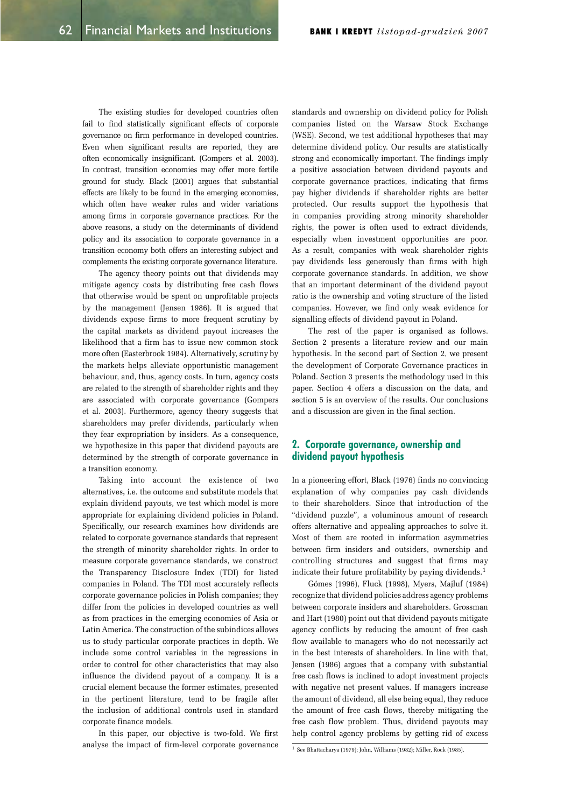The existing studies for developed countries often fail to find statistically significant effects of corporate governance on firm performance in developed countries. Even when significant results are reported, they are often economically insignificant. (Gompers et al. 2003). In contrast, transition economies may offer more fertile ground for study. Black (2001) argues that substantial effects are likely to be found in the emerging economies, which often have weaker rules and wider variations among firms in corporate governance practices. For the above reasons, a study on the determinants of dividend policy and its association to corporate governance in a transition economy both offers an interesting subject and complements the existing corporate governance literature.

The agency theory points out that dividends may mitigate agency costs by distributing free cash flows that otherwise would be spent on unprofitable projects by the management (Jensen 1986). It is argued that dividends expose firms to more frequent scrutiny by the capital markets as dividend payout increases the likelihood that a firm has to issue new common stock more often (Easterbrook 1984). Alternatively, scrutiny by the markets helps alleviate opportunistic management behaviour, and, thus, agency costs. In turn, agency costs are related to the strength of shareholder rights and they are associated with corporate governance (Gompers et al. 2003). Furthermore, agency theory suggests that shareholders may prefer dividends, particularly when they fear expropriation by insiders. As a consequence, we hypothesize in this paper that dividend payouts are determined by the strength of corporate governance in a transition economy.

Taking into account the existence of two alternatives**,** i.e. the outcome and substitute models that explain dividend payouts, we test which model is more appropriate for explaining dividend policies in Poland. Specifically, our research examines how dividends are related to corporate governance standards that represent the strength of minority shareholder rights. In order to measure corporate governance standards, we construct the Transparency Disclosure Index (TDI) for listed companies in Poland. The TDI most accurately reflects corporate governance policies in Polish companies; they differ from the policies in developed countries as well as from practices in the emerging economies of Asia or Latin America. The construction of the subindices allows us to study particular corporate practices in depth. We include some control variables in the regressions in order to control for other characteristics that may also influence the dividend payout of a company. It is a crucial element because the former estimates, presented in the pertinent literature, tend to be fragile after the inclusion of additional controls used in standard corporate finance models.

In this paper, our objective is two-fold. We first analyse the impact of firm-level corporate governance

standards and ownership on dividend policy for Polish companies listed on the Warsaw Stock Exchange (WSE). Second, we test additional hypotheses that may determine dividend policy. Our results are statistically strong and economically important. The findings imply a positive association between dividend payouts and corporate governance practices, indicating that firms pay higher dividends if shareholder rights are better protected. Our results support the hypothesis that in companies providing strong minority shareholder rights, the power is often used to extract dividends, especially when investment opportunities are poor. As a result, companies with weak shareholder rights pay dividends less generously than firms with high corporate governance standards. In addition, we show that an important determinant of the dividend payout ratio is the ownership and voting structure of the listed companies. However, we find only weak evidence for signalling effects of dividend payout in Poland.

The rest of the paper is organised as follows. Section 2 presents a literature review and our main hypothesis. In the second part of Section 2, we present the development of Corporate Governance practices in Poland. Section 3 presents the methodology used in this paper. Section 4 offers a discussion on the data, and section 5 is an overview of the results. Our conclusions and a discussion are given in the final section.

## 2. Corporate governance, ownership and dividend payout hypothesis

In a pioneering effort, Black (1976) finds no convincing explanation of why companies pay cash dividends to their shareholders. Since that introduction of the "dividend puzzle", a voluminous amount of research offers alternative and appealing approaches to solve it. Most of them are rooted in information asymmetries between firm insiders and outsiders, ownership and controlling structures and suggest that firms may indicate their future profitability by paying dividends.<sup>1</sup>

Gómes (1996), Fluck (1998), Myers, Mailuf (1984) recognize that dividend policies address agency problems between corporate insiders and shareholders. Grossman and Hart (1980) point out that dividend payouts mitigate agency conflicts by reducing the amount of free cash flow available to managers who do not necessarily act in the best interests of shareholders. In line with that, Jensen (1986) argues that a company with substantial free cash flows is inclined to adopt investment projects with negative net present values. If managers increase the amount of dividend, all else being equal, they reduce the amount of free cash flows, thereby mitigating the free cash flow problem. Thus, dividend payouts may help control agency problems by getting rid of excess

 $1$  See Bhattacharya (1979); John, Williams (1982); Miller, Rock (1985).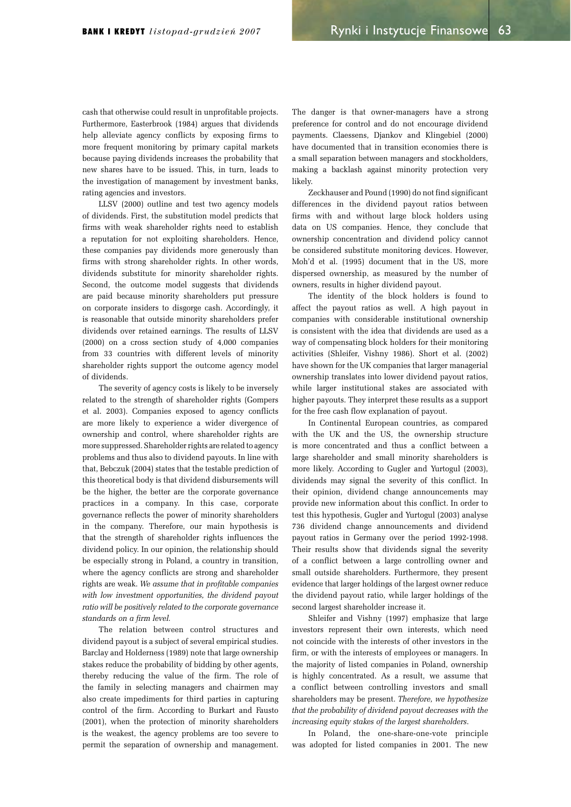cash that otherwise could result in unprofitable projects. Furthermore, Easterbrook (1984) argues that dividends help alleviate agency conflicts by exposing firms to more frequent monitoring by primary capital markets because paying dividends increases the probability that new shares have to be issued. This, in turn, leads to the investigation of management by investment banks, rating agencies and investors.

LLSV (2000) outline and test two agency models of dividends. First, the substitution model predicts that firms with weak shareholder rights need to establish a reputation for not exploiting shareholders. Hence, these companies pay dividends more generously than firms with strong shareholder rights. In other words, dividends substitute for minority shareholder rights. Second, the outcome model suggests that dividends are paid because minority shareholders put pressure on corporate insiders to disgorge cash. Accordingly, it is reasonable that outside minority shareholders prefer dividends over retained earnings. The results of LLSV  $(2000)$  on a cross section study of  $4,000$  companies from 33 countries with different levels of minority shareholder rights support the outcome agency model of dividends.

The severity of agency costs is likely to be inversely related to the strength of shareholder rights (Gompers et al. 2003). Companies exposed to agency conflicts are more likely to experience a wider divergence of ownership and control, where shareholder rights are more suppressed. Shareholder rights are related to agency problems and thus also to dividend payouts. In line with that, Bebczuk (2004) states that the testable prediction of this theoretical body is that dividend disbursements will be the higher, the better are the corporate governance practices in a company. In this case, corporate governance reflects the power of minority shareholders in the company. Therefore, our main hypothesis is that the strength of shareholder rights influences the dividend policy. In our opinion, the relationship should be especially strong in Poland, a country in transition, where the agency conflicts are strong and shareholder rights are weak. *We assume that in profitable companies with low investment opportunities, the dividend payout ratio will be positively related to the corporate governance standards on a firm level.*

The relation between control structures and dividend payout is a subject of several empirical studies. Barclay and Holderness (1989) note that large ownership stakes reduce the probability of bidding by other agents, thereby reducing the value of the firm. The role of the family in selecting managers and chairmen may also create impediments for third parties in capturing control of the firm. According to Burkart and Fausto  $(2001)$ , when the protection of minority shareholders is the weakest, the agency problems are too severe to permit the separation of ownership and management.

The danger is that owner-managers have a strong preference for control and do not encourage dividend payments. Claessens, Djankov and Klingebiel (2000) have documented that in transition economies there is a small separation between managers and stockholders, making a backlash against minority protection very likely.

Zeckhauser and Pound (1990) do not find significant differences in the dividend payout ratios between firms with and without large block holders using data on US companies. Hence, they conclude that ownership concentration and dividend policy cannot be considered substitute monitoring devices. However, Moh'd et al. (1995) document that in the US, more dispersed ownership, as measured by the number of owners, results in higher dividend payout.

The identity of the block holders is found to affect the payout ratios as well. A high payout in companies with considerable institutional ownership is consistent with the idea that dividends are used as a way of compensating block holders for their monitoring activities (Shleifer, Vishny 1986). Short et al. (2002) have shown for the UK companies that larger managerial ownership translates into lower dividend payout ratios, while larger institutional stakes are associated with higher payouts. They interpret these results as a support for the free cash flow explanation of payout.

In Continental European countries, as compared with the UK and the US, the ownership structure is more concentrated and thus a conflict between a large shareholder and small minority shareholders is more likely. According to Gugler and Yurtogul (2003). dividends may signal the severity of this conflict. In their opinion, dividend change announcements may provide new information about this conflict. In order to test this hypothesis, Gugler and Yurtogul (2003) analyse 736 dividend change announcements and dividend payout ratios in Germany over the period 1992-1998. Their results show that dividends signal the severity of a conflict between a large controlling owner and small outside shareholders. Furthermore, they present evidence that larger holdings of the largest owner reduce the dividend payout ratio, while larger holdings of the second largest shareholder increase it.

Shleifer and Vishny (1997) emphasize that large investors represent their own interests, which need not coincide with the interests of other investors in the firm, or with the interests of employees or managers. In the majority of listed companies in Poland, ownership is highly concentrated. As a result, we assume that a conflict between controlling investors and small shareholders may be present. *Therefore, we hypothesize that the probability of dividend payout decreases with the increasing equity stakes of the largest shareholders*.

In Poland, the one-share-one-vote principle was adopted for listed companies in 2001. The new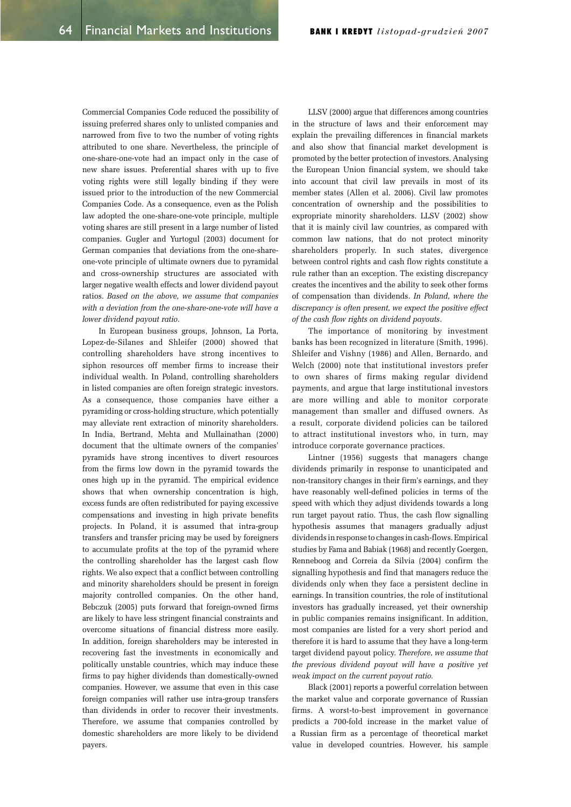Commercial Companies Code reduced the possibility of issuing preferred shares only to unlisted companies and narrowed from five to two the number of voting rights attributed to one share. Nevertheless, the principle of one-share-one-vote had an impact only in the case of new share issues. Preferential shares with up to five voting rights were still legally binding if they were issued prior to the introduction of the new Commercial Companies Code. As a consequence, even as the Polish law adopted the one-share-one-vote principle, multiple voting shares are still present in a large number of listed companies. Gugler and Yurtogul (2003) document for German companies that deviations from the one-shareone-vote principle of ultimate owners due to pyramidal and cross-ownership structures are associated with larger negative wealth effects and lower dividend payout ratios. *Based on the above, we assume that companies with a deviation from the one-share-one-vote will have a lower dividend payout ratio*.

In European business groups, Johnson, La Porta, Lopez-de-Silanes and Shleifer (2000) showed that controlling shareholders have strong incentives to siphon resources off member firms to increase their individual wealth. In Poland, controlling shareholders in listed companies are often foreign strategic investors. As a consequence, those companies have either a pyramiding or cross-holding structure, which potentially may alleviate rent extraction of minority shareholders. In India, Bertrand, Mehta and Mullainathan (2000) document that the ultimate owners of the companies' pyramids have strong incentives to divert resources from the firms low down in the pyramid towards the ones high up in the pyramid. The empirical evidence shows that when ownership concentration is high, excess funds are often redistributed for paying excessive compensations and investing in high private benefits projects. In Poland, it is assumed that intra-group transfers and transfer pricing may be used by foreigners to accumulate profits at the top of the pyramid where the controlling shareholder has the largest cash flow rights. We also expect that a conflict between controlling and minority shareholders should be present in foreign majority controlled companies. On the other hand, Bebczuk (2005) puts forward that foreign-owned firms are likely to have less stringent financial constraints and overcome situations of financial distress more easily. In addition, foreign shareholders may be interested in recovering fast the investments in economically and politically unstable countries, which may induce these firms to pay higher dividends than domestically-owned companies. However, we assume that even in this case foreign companies will rather use intra-group transfers than dividends in order to recover their investments. Therefore, we assume that companies controlled by domestic shareholders are more likely to be dividend payers.

LLSV (2000) argue that differences among countries in the structure of laws and their enforcement may explain the prevailing differences in financial markets and also show that financial market development is promoted by the better protection of investors. Analysing the European Union financial system, we should take into account that civil law prevails in most of its member states (Allen et al. 2006). Civil law promotes concentration of ownership and the possibilities to expropriate minority shareholders. LLSV (2002) show that it is mainly civil law countries, as compared with common law nations, that do not protect minority shareholders properly. In such states, divergence between control rights and cash flow rights constitute a rule rather than an exception. The existing discrepancy creates the incentives and the ability to seek other forms of compensation than dividends. *In Poland, where the discrepancy is often present, we expect the positive effect of the cash flow rights on dividend payouts*.

The importance of monitoring by investment banks has been recognized in literature (Smith, 1996). Shleifer and Vishny (1986) and Allen, Bernardo, and Welch (2000) note that institutional investors prefer to own shares of firms making regular dividend payments, and argue that large institutional investors are more willing and able to monitor corporate management than smaller and diffused owners. As a result, corporate dividend policies can be tailored to attract institutional investors who, in turn, may introduce corporate governance practices.

Lintner (1956) suggests that managers change dividends primarily in response to unanticipated and non-transitory changes in their firm's earnings, and they have reasonably well-defined policies in terms of the speed with which they adjust dividends towards a long run target payout ratio. Thus, the cash flow signalling hypothesis assumes that managers gradually adjust dividends in response to changes in cash-flows. Empirical studies by Fama and Babiak (1968) and recently Goergen, Renneboog and Correia da Silvia (2004) confirm the signalling hypothesis and find that managers reduce the dividends only when they face a persistent decline in earnings. In transition countries, the role of institutional investors has gradually increased, yet their ownership in public companies remains insignificant. In addition, most companies are listed for a very short period and therefore it is hard to assume that they have a long-term target dividend payout policy. *Therefore, we assume that the previous dividend payout will have a positive yet weak impact on the current payout ratio.*

Black (2001) reports a powerful correlation between the market value and corporate governance of Russian firms. A worst-to-best improvement in governance predicts a 700-fold increase in the market value of a Russian firm as a percentage of theoretical market value in developed countries. However, his sample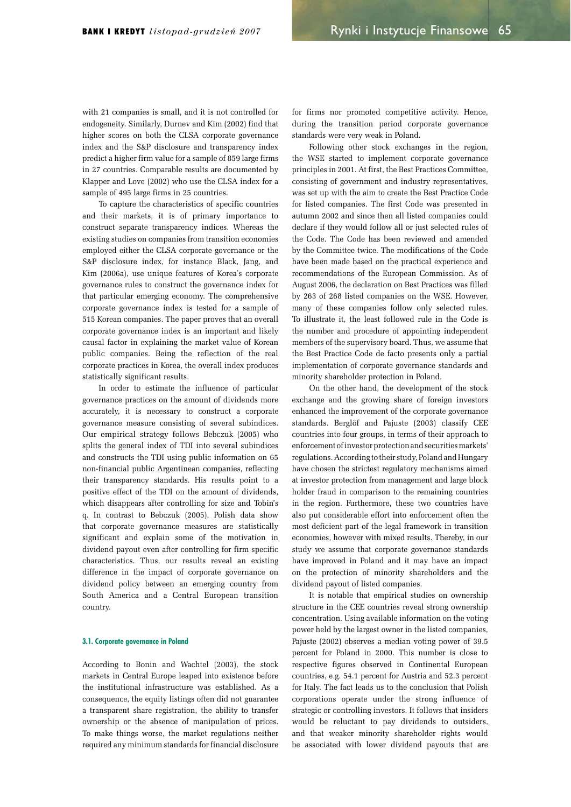with 21 companies is small, and it is not controlled for endogeneity. Similarly, Durney and Kim (2002) find that higher scores on both the CLSA corporate governance index and the S&P disclosure and transparency index predict a higher firm value for a sample of 859 large firms in 27 countries. Comparable results are documented by Klapper and Love (2002) who use the CLSA index for a sample of 495 large firms in 25 countries.

To capture the characteristics of specific countries and their markets, it is of primary importance to construct separate transparency indices. Whereas the existing studies on companies from transition economies employed either the CLSA corporate governance or the S&P disclosure index, for instance Black, Jang, and Kim (2006a), use unique features of Korea's corporate governance rules to construct the governance index for that particular emerging economy. The comprehensive corporate governance index is tested for a sample of 515 Korean companies. The paper proves that an overall corporate governance index is an important and likely causal factor in explaining the market value of Korean public companies. Being the reflection of the real corporate practices in Korea, the overall index produces statistically significant results.

In order to estimate the influence of particular governance practices on the amount of dividends more accurately, it is necessary to construct a corporate governance measure consisting of several subindices. Our empirical strategy follows Bebczuk (2005) who splits the general index of TDI into several subindices and constructs the TDI using public information on 65 non-financial public Argentinean companies, reflecting their transparency standards. His results point to a positive effect of the TDI on the amount of dividends, which disappears after controlling for size and Tobin's q. In contrast to Bebczuk (2005), Polish data show that corporate governance measures are statistically significant and explain some of the motivation in dividend payout even after controlling for firm specific characteristics. Thus, our results reveal an existing difference in the impact of corporate governance on dividend policy between an emerging country from South America and a Central European transition country.

#### 3.1. Corporate governance in Poland

According to Bonin and Wachtel (2003), the stock markets in Central Europe leaped into existence before the institutional infrastructure was established. As a consequence, the equity listings often did not guarantee a transparent share registration, the ability to transfer ownership or the absence of manipulation of prices. To make things worse, the market regulations neither required any minimum standards for financial disclosure for firms nor promoted competitive activity. Hence, during the transition period corporate governance standards were very weak in Poland.

Following other stock exchanges in the region, the WSE started to implement corporate governance principles in 2001. At first, the Best Practices Committee, consisting of government and industry representatives, was set up with the aim to create the Best Practice Code for listed companies. The first Code was presented in autumn 2002 and since then all listed companies could declare if they would follow all or just selected rules of the Code. The Code has been reviewed and amended by the Committee twice. The modifications of the Code have been made based on the practical experience and recommendations of the European Commission. As of August 2006, the declaration on Best Practices was filled by 263 of 268 listed companies on the WSE. However, many of these companies follow only selected rules. To illustrate it, the least followed rule in the Code is the number and procedure of appointing independent members of the supervisory board. Thus, we assume that the Best Practice Code de facto presents only a partial implementation of corporate governance standards and minority shareholder protection in Poland.

On the other hand, the development of the stock exchange and the growing share of foreign investors enhanced the improvement of the corporate governance standards. Berglöf and Pajuste (2003) classify CEE countries into four groups, in terms of their approach to enforcement of investor protection and securities markets' regulations. According to their study, Poland and Hungary have chosen the strictest regulatory mechanisms aimed at investor protection from management and large block holder fraud in comparison to the remaining countries in the region. Furthermore, these two countries have also put considerable effort into enforcement often the most deficient part of the legal framework in transition economies, however with mixed results. Thereby, in our study we assume that corporate governance standards have improved in Poland and it may have an impact on the protection of minority shareholders and the dividend payout of listed companies.

It is notable that empirical studies on ownership structure in the CEE countries reveal strong ownership concentration. Using available information on the voting power held by the largest owner in the listed companies, Pajuste (2002) observes a median voting power of 39.5 percent for Poland in 2000. This number is close to respective figures observed in Continental European countries, e.g. 54.1 percent for Austria and 52.3 percent for Italy. The fact leads us to the conclusion that Polish corporations operate under the strong influence of strategic or controlling investors. It follows that insiders would be reluctant to pay dividends to outsiders, and that weaker minority shareholder rights would be associated with lower dividend payouts that are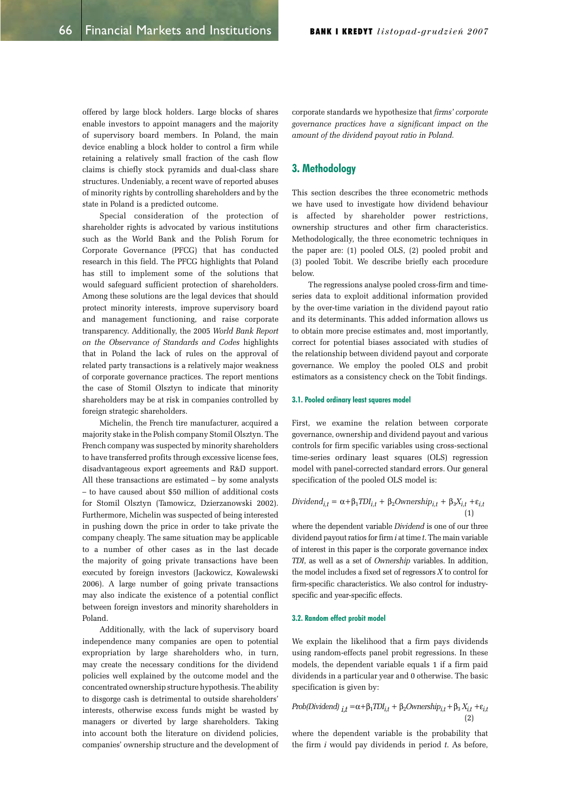offered by large block holders. Large blocks of shares enable investors to appoint managers and the majority of supervisory board members. In Poland, the main device enabling a block holder to control a firm while retaining a relatively small fraction of the cash flow claims is chiefly stock pyramids and dual-class share structures. Undeniably, a recent wave of reported abuses of minority rights by controlling shareholders and by the state in Poland is a predicted outcome.

Special consideration of the protection of shareholder rights is advocated by various institutions such as the World Bank and the Polish Forum for Corporate Governance (PFCG) that has conducted research in this field. The PFCG highlights that Poland has still to implement some of the solutions that would safeguard sufficient protection of shareholders. Among these solutions are the legal devices that should protect minority interests, improve supervisory board and management functioning, and raise corporate transparency. Additionally, the 2005 *World Bank Report on the Observance of Standards and Codes* highlights that in Poland the lack of rules on the approval of related party transactions is a relatively major weakness of corporate governance practices. The report mentions the case of Stomil Olsztyn to indicate that minority shareholders may be at risk in companies controlled by foreign strategic shareholders.

Michelin, the French tire manufacturer, acquired a majority stake in the Polish company Stomil Olsztyn. The French company was suspected by minority shareholders to have transferred profits through excessive license fees, disadvantageous export agreements and R&D support. All these transactions are estimated  $-$  by some analysts - to have caused about \$50 million of additional costs for Stomil Olsztyn (Tamowicz, Dzierzanowski 2002). Furthermore, Michelin was suspected of being interested in pushing down the price in order to take private the company cheaply. The same situation may be applicable to a number of other cases as in the last decade the majority of going private transactions have been executed by foreign investors (Jackowicz, Kowalewski 2006). A large number of going private transactions may also indicate the existence of a potential conflict between foreign investors and minority shareholders in Poland.

Additionally, with the lack of supervisory board independence many companies are open to potential expropriation by large shareholders who, in turn, may create the necessary conditions for the dividend policies well explained by the outcome model and the concentrated ownership structure hypothesis. The ability to disgorge cash is detrimental to outside shareholders' interests, otherwise excess funds might be wasted by managers or diverted by large shareholders. Taking into account both the literature on dividend policies, companies' ownership structure and the development of corporate standards we hypothesize that *firms' corporate governance practices have a significant impact on the amount of the dividend payout ratio in Poland.*

## 3. Methodology

This section describes the three econometric methods we have used to investigate how dividend behaviour is affected by shareholder power restrictions, ownership structures and other firm characteristics. Methodologically, the three econometric techniques in the paper are:  $(1)$  pooled OLS,  $(2)$  pooled probit and (3) pooled Tobit. We describe briefly each procedure below.

The regressions analyse pooled cross-firm and timeseries data to exploit additional information provided by the over-time variation in the dividend payout ratio and its determinants. This added information allows us to obtain more precise estimates and, most importantly, correct for potential biases associated with studies of the relationship between dividend payout and corporate governance. We employ the pooled OLS and probit estimators as a consistency check on the Tobit findings.

#### 3.1. Pooled ordinary least squares model

First, we examine the relation between corporate governance, ownership and dividend payout and various controls for firm specific variables using cross-sectional time-series ordinary least squares (OLS) regression model with panel-corrected standard errors. Our general specification of the pooled OLS model is:

Dividend<sub>i,t</sub> = 
$$
\alpha + \beta_1 TDI_{i,t} + \beta_2 \text{OWnership}_{i,t} + \beta_3 X_{i,t} + \varepsilon_{i,t}
$$
 (1)

where the dependent variable *Dividend* is one of our three dividend payout ratios for firm *i* at time *t*. The main variable of interest in this paper is the corporate governance index *TDI*, as well as a set of *Ownership* variables. In addition, the model includes a fixed set of regressors *X* to control for firm-specific characteristics. We also control for industryspecific and year-specific effects.

#### 3.2. Random effect probit model

We explain the likelihood that a firm pays dividends using random-effects panel probit regressions. In these models, the dependent variable equals 1 if a firm paid dividends in a particular year and 0 otherwise. The basic specification is given by:

$$
Prob(Dividend)_{i,t} = \alpha + \beta_1 T D I_{i,t} + \beta_2 Ownership_{i,t} + \beta_3 X_{i,t} + \varepsilon_{i,t}
$$
\n(2)

where the dependent variable is the probability that the firm *i* would pay dividends in period *t*. As before,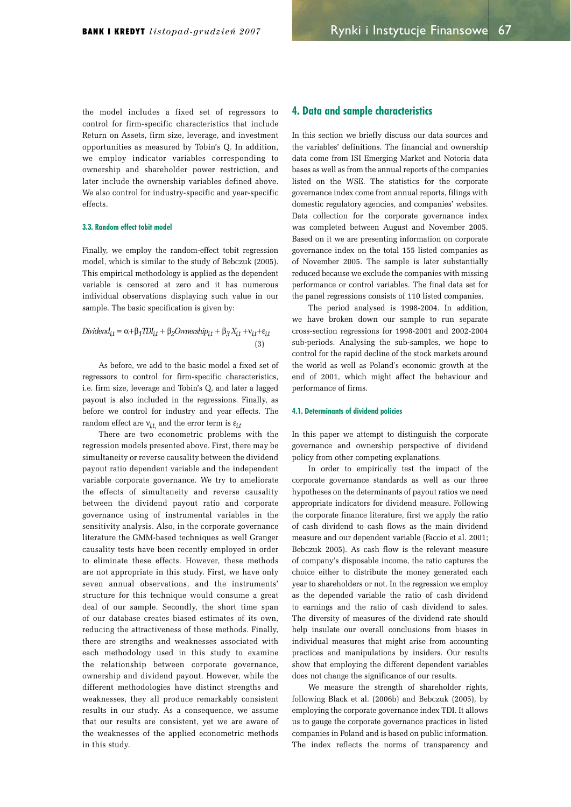the model includes a fixed set of regressors to control for firm-specific characteristics that include Return on Assets, firm size, leverage, and investment opportunities as measured by Tobin's Q. In addition, we employ indicator variables corresponding to ownership and shareholder power restriction, and later include the ownership variables defined above. We also control for industry-specific and year-specific effects.

#### 3.3. Random effect tobit model

Finally, we employ the random-effect tobit regression model, which is similar to the study of Bebczuk (2005). This empirical methodology is applied as the dependent variable is censored at zero and it has numerous individual observations displaying such value in our sample. The basic specification is given by:

Dividend<sub>it</sub> = 
$$
\alpha + \beta_1 TDI_{it} + \beta_2 Ownership_{it} + \beta_3 X_{it} + v_{it} + \varepsilon_{it}
$$
  
(3)

As before, we add to the basic model a fixed set of regressors to control for firm-specific characteristics, i.e. firm size, leverage and Tobin's Q, and later a lagged payout is also included in the regressions. Finally, as before we control for industry and year effects. The random effect are  $v_{it}$ , and the error term is  $\varepsilon_{it}$ 

There are two econometric problems with the regression models presented above. First, there may be simultaneity or reverse causality between the dividend payout ratio dependent variable and the independent variable corporate governance. We try to ameliorate the effects of simultaneity and reverse causality between the dividend payout ratio and corporate governance using of instrumental variables in the sensitivity analysis. Also, in the corporate governance literature the GMM-based techniques as well Granger causality tests have been recently employed in order to eliminate these effects. However, these methods are not appropriate in this study. First, we have only seven annual observations, and the instruments' structure for this technique would consume a great deal of our sample. Secondly, the short time span of our database creates biased estimates of its own, reducing the attractiveness of these methods. Finally, there are strengths and weaknesses associated with each methodology used in this study to examine the relationship between corporate governance, ownership and dividend payout. However, while the different methodologies have distinct strengths and weaknesses, they all produce remarkably consistent results in our study. As a consequence, we assume that our results are consistent, yet we are aware of the weaknesses of the applied econometric methods in this study.

## 4. Data and sample characteristics

In this section we briefly discuss our data sources and the variables' definitions. The financial and ownership data come from ISI Emerging Market and Notoria data bases as well as from the annual reports of the companies listed on the WSE. The statistics for the corporate governance index come from annual reports, filings with domestic regulatory agencies, and companies' websites. Data collection for the corporate governance index was completed between August and November 2005. Based on it we are presenting information on corporate governance index on the total 155 listed companies as of November 2005. The sample is later substantially reduced because we exclude the companies with missing performance or control variables. The final data set for the panel regressions consists of 110 listed companies.

The period analysed is 1998-2004. In addition, we have broken down our sample to run separate cross-section regressions for 1998-2001 and 2002-2004 sub-periods. Analysing the sub-samples, we hope to control for the rapid decline of the stock markets around the world as well as Poland's economic growth at the end of 2001, which might affect the behaviour and performance of firms.

#### 4.1. Determinants of dividend policies

In this paper we attempt to distinguish the corporate governance and ownership perspective of dividend policy from other competing explanations.

In order to empirically test the impact of the corporate governance standards as well as our three hypotheses on the determinants of payout ratios we need appropriate indicators for dividend measure. Following the corporate finance literature, first we apply the ratio of cash dividend to cash flows as the main dividend measure and our dependent variable (Faccio et al. 2001; Bebczuk 2005). As cash flow is the relevant measure of company's disposable income, the ratio captures the choice either to distribute the money generated each year to shareholders or not. In the regression we employ as the depended variable the ratio of cash dividend to earnings and the ratio of cash dividend to sales. The diversity of measures of the dividend rate should help insulate our overall conclusions from biases in individual measures that might arise from accounting practices and manipulations by insiders. Our results show that employing the different dependent variables does not change the significance of our results.

We measure the strength of shareholder rights, following Black et al.  $(2006b)$  and Bebczuk  $(2005)$ , by employing the corporate governance index TDI. It allows us to gauge the corporate governance practices in listed companies in Poland and is based on public information. The index reflects the norms of transparency and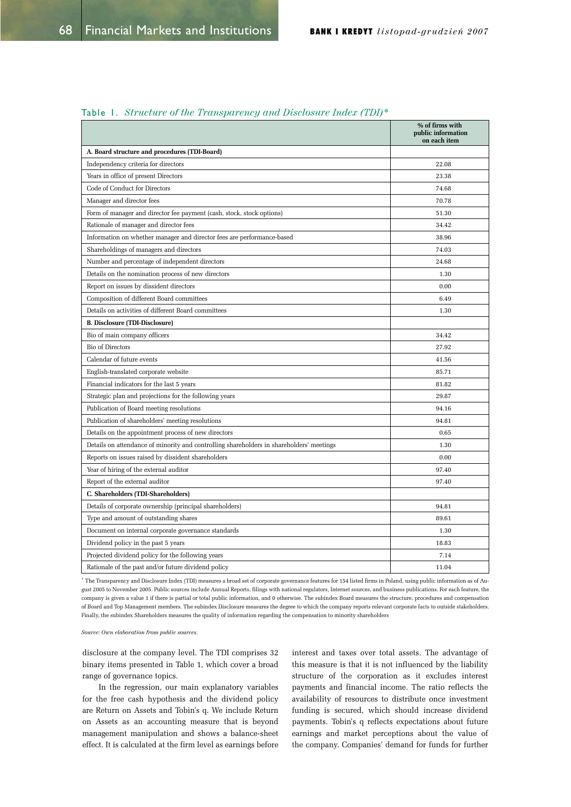|                                                                                          | % of firms with<br>public information<br>on each item |
|------------------------------------------------------------------------------------------|-------------------------------------------------------|
| A. Board structure and procedures (TDI-Board)                                            |                                                       |
| Independency criteria for directors                                                      | 22.08                                                 |
| Years in office of present Directors                                                     | 23.38                                                 |
| Code of Conduct for Directors                                                            | 74.68                                                 |
| Manager and director fees                                                                | 70.78                                                 |
| Form of manager and director fee payment (cash, stock, stock options)                    | 51.30                                                 |
| Rationale of manager and director fees                                                   | 34.42                                                 |
| Information on whether manager and director fees are performance-based                   | 38.96                                                 |
| Shareholdings of managers and directors                                                  | 74.03                                                 |
| Number and percentage of independent directors                                           | 24.68                                                 |
| Details on the nomination process of new directors                                       | 1.30                                                  |
| Report on issues by dissident directors                                                  | 0.00                                                  |
| Composition of different Board committees                                                | 6.49                                                  |
| Details on activities of different Board committees                                      | 1.30                                                  |
| <b>B. Disclosure (TDI-Disclosure)</b>                                                    |                                                       |
| Bio of main company officers                                                             | 34.42                                                 |
| <b>Bio of Directors</b>                                                                  | 27.92                                                 |
| Calendar of future events                                                                | 41.56                                                 |
| English-translated corporate website                                                     | 85.71                                                 |
| Financial indicators for the last 5 years                                                | 81.82                                                 |
| Strategic plan and projections for the following years                                   | 29.87                                                 |
| Publication of Board meeting resolutions                                                 | 94.16                                                 |
| Publication of shareholders' meeting resolutions                                         | 94.81                                                 |
| Details on the appointment process of new directors                                      | 0.65                                                  |
| Details on attendance of minority and controlling shareholders in shareholders' meetings | 1.30                                                  |
| Reports on issues raised by dissident shareholders                                       | 0.00                                                  |
| Year of hiring of the external auditor                                                   | 97.40                                                 |
| Report of the external auditor                                                           | 97.40                                                 |
| C. Shareholders (TDI-Shareholders)                                                       |                                                       |
| Details of corporate ownership (principal shareholders)                                  | 94.81                                                 |
| Type and amount of outstanding shares                                                    | 89.61                                                 |
| Document on internal corporate governance standards                                      | 1.30                                                  |
| Dividend policy in the past 5 years                                                      | 18.83                                                 |
| Projected dividend policy for the following years                                        | 7.14                                                  |
| Rationale of the past and/or future dividend policy                                      | 11.04                                                 |

## Table 1. Structure of the Transparency and Disclosure Index (TDI)\*

\* The Transparency and Disclosure Index (TDI) measures a broad set of corporate governance features for 154 listed firms in Poland, using public information as of August 2005 to November 2005. Public sources include Annual Reports, filings with national regulators, Internet sources, and business publications. For each feature, the company is given a value 1 if there is partial or total public information, and 0 otherwise. The subindex Board measures the structure, procedures and compensation of Board and Top Management members. The subindex Disclosure measures the degree to which the company reports relevant corporate facts to outside stakeholders. Finally, the subindex Shareholders measures the quality of information regarding the compensation to minority shareholders

*Source: Own elaboration from public sources.* 

disclosure at the company level. The TDI comprises 32 binary items presented in Table 1, which cover a broad range of governance topics.

In the regression, our main explanatory variables for the free cash hypothesis and the dividend policy are Return on Assets and Tobin's q. We include Return on Assets as an accounting measure that is beyond management manipulation and shows a balance-sheet effect. It is calculated at the firm level as earnings before interest and taxes over total assets. The advantage of this measure is that it is not influenced by the liability structure of the corporation as it excludes interest payments and financial income. The ratio reflects the availability of resources to distribute once investment funding is secured, which should increase dividend payments. Tobin's q reflects expectations about future earnings and market perceptions about the value of the company. Companies' demand for funds for further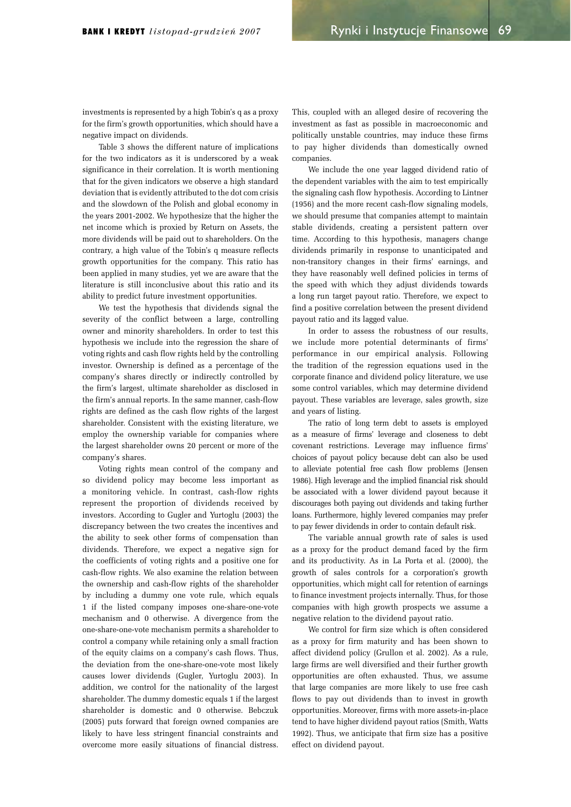investments is represented by a high Tobin's q as a proxy for the firm's growth opportunities, which should have a negative impact on dividends.

Table 3 shows the different nature of implications for the two indicators as it is underscored by a weak significance in their correlation. It is worth mentioning that for the given indicators we observe a high standard deviation that is evidently attributed to the dot com crisis and the slowdown of the Polish and global economy in the years 2001-2002. We hypothesize that the higher the net income which is proxied by Return on Assets, the more dividends will be paid out to shareholders. On the contrary, a high value of the Tobin's q measure reflects growth opportunities for the company. This ratio has been applied in many studies, yet we are aware that the literature is still inconclusive about this ratio and its ability to predict future investment opportunities.

We test the hypothesis that dividends signal the severity of the conflict between a large, controlling owner and minority shareholders. In order to test this hypothesis we include into the regression the share of voting rights and cash flow rights held by the controlling investor. Ownership is defined as a percentage of the company's shares directly or indirectly controlled by the firm's largest, ultimate shareholder as disclosed in the firm's annual reports. In the same manner, cash-flow rights are defined as the cash flow rights of the largest shareholder. Consistent with the existing literature, we employ the ownership variable for companies where the largest shareholder owns 20 percent or more of the company's shares.

Voting rights mean control of the company and so dividend policy may become less important as a monitoring vehicle. In contrast, cash-flow rights represent the proportion of dividends received by investors. According to Gugler and Yurtoglu (2003) the discrepancy between the two creates the incentives and the ability to seek other forms of compensation than dividends. Therefore, we expect a negative sign for the coefficients of voting rights and a positive one for cash-flow rights. We also examine the relation between the ownership and cash-flow rights of the shareholder by including a dummy one vote rule, which equals 1 if the listed company imposes one-share-one-vote mechanism and 0 otherwise. A divergence from the one-share-one-vote mechanism permits a shareholder to control a company while retaining only a small fraction of the equity claims on a company's cash flows. Thus, the deviation from the one-share-one-vote most likely causes lower dividends (Gugler, Yurtoglu 2003). In addition, we control for the nationality of the largest shareholder. The dummy domestic equals 1 if the largest shareholder is domestic and 0 otherwise. Bebczuk (2005) puts forward that foreign owned companies are likely to have less stringent financial constraints and overcome more easily situations of financial distress.

This, coupled with an alleged desire of recovering the investment as fast as possible in macroeconomic and politically unstable countries, may induce these firms to pay higher dividends than domestically owned companies.

We include the one year lagged dividend ratio of the dependent variables with the aim to test empirically the signaling cash flow hypothesis. According to Lintner (1956) and the more recent cash-flow signaling models, we should presume that companies attempt to maintain stable dividends, creating a persistent pattern over time. According to this hypothesis, managers change dividends primarily in response to unanticipated and non-transitory changes in their firms' earnings, and they have reasonably well defined policies in terms of the speed with which they adjust dividends towards a long run target payout ratio. Therefore, we expect to find a positive correlation between the present dividend payout ratio and its lagged value.

In order to assess the robustness of our results, we include more potential determinants of firms' performance in our empirical analysis. Following the tradition of the regression equations used in the corporate finance and dividend policy literature, we use some control variables, which may determine dividend payout. These variables are leverage, sales growth, size and years of listing.

The ratio of long term debt to assets is employed as a measure of firms' leverage and closeness to debt covenant restrictions. Leverage may influence firms' choices of payout policy because debt can also be used to alleviate potential free cash flow problems (Jensen 1986). High leverage and the implied financial risk should be associated with a lower dividend payout because it discourages both paying out dividends and taking further loans. Furthermore, highly levered companies may prefer to pay fewer dividends in order to contain default risk.

The variable annual growth rate of sales is used as a proxy for the product demand faced by the firm and its productivity. As in La Porta et al. (2000), the growth of sales controls for a corporation's growth opportunities, which might call for retention of earnings to finance investment projects internally. Thus, for those companies with high growth prospects we assume a negative relation to the dividend payout ratio.

We control for firm size which is often considered as a proxy for firm maturity and has been shown to affect dividend policy (Grullon et al. 2002). As a rule, large firms are well diversified and their further growth opportunities are often exhausted. Thus, we assume that large companies are more likely to use free cash flows to pay out dividends than to invest in growth opportunities. Moreover, firms with more assets-in-place tend to have higher dividend payout ratios (Smith, Watts 1992). Thus, we anticipate that firm size has a positive effect on dividend payout.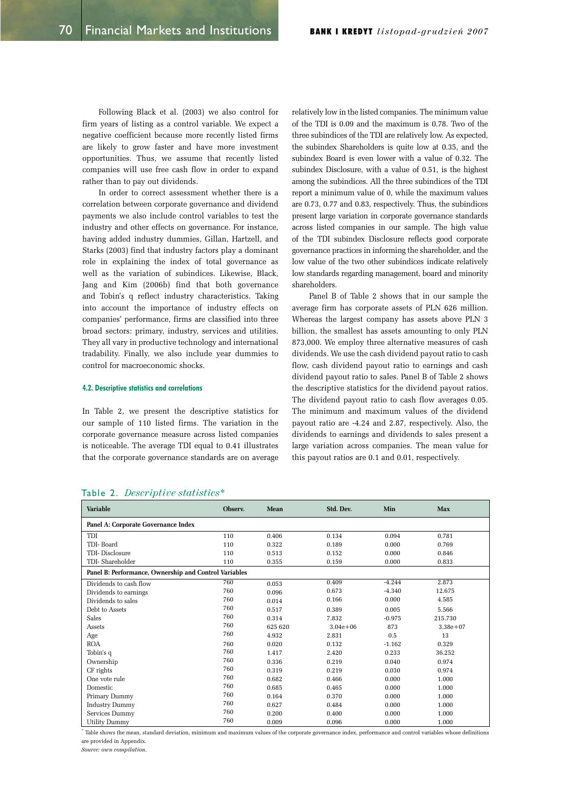Following Black et al. (2003) we also control for firm years of listing as a control variable. We expect a negative coefficient because more recently listed firms are likely to grow faster and have more investment opportunities. Thus, we assume that recently listed companies will use free cash flow in order to expand rather than to pay out dividends.

In order to correct assessment whether there is a correlation between corporate governance and dividend payments we also include control variables to test the industry and other effects on governance. For instance, having added industry dummies, Gillan, Hartzell, and Starks (2003) find that industry factors play a dominant role in explaining the index of total governance as well as the variation of subindices. Likewise, Black, Jang and Kim (2006b) find that both governance and Tobin's q reflect industry characteristics. Taking into account the importance of industry effects on companies' performance, firms are classified into three broad sectors: primary, industry, services and utilities. They all vary in productive technology and international tradability. Finally, we also include year dummies to control for macroeconomic shocks.

#### 4.2. Descriptive statistics and correlations

In Table 2, we present the descriptive statistics for our sample of 110 listed firms. The variation in the corporate governance measure across listed companies is noticeable. The average TDI equal to 0.41 illustrates that the corporate governance standards are on average relatively low in the listed companies. The minimum value of the TDI is 0.09 and the maximum is 0.78. Two of the three subindices of the TDI are relatively low. As expected, the subindex Shareholders is quite low at 0.35, and the subindex Board is even lower with a value of 0.32. The subindex Disclosure, with a value of 0.51, is the highest among the subindices. All the three subindices of the TDI report a minimum value of 0, while the maximum values are 0.73, 0.77 and 0.83, respectively. Thus, the subindices present large variation in corporate governance standards across listed companies in our sample. The high value of the TDI subindex Disclosure reflects good corporate governance practices in informing the shareholder, and the low value of the two other subindices indicate relatively low standards regarding management, board and minority shareholders.

Panel B of Table 2 shows that in our sample the average firm has corporate assets of PLN 626 million. Whereas the largest company has assets above PLN 3 billion, the smallest has assets amounting to only PLN 873,000. We employ three alternative measures of cash dividends. We use the cash dividend payout ratio to cash flow, cash dividend payout ratio to earnings and cash dividend payout ratio to sales. Panel B of Table 2 shows the descriptive statistics for the dividend payout ratios. The dividend payout ratio to cash flow averages 0.05. The minimum and maximum values of the dividend payout ratio are -4.24 and 2.87, respectively. Also, the dividends to earnings and dividends to sales present a large variation across companies. The mean value for this payout ratios are 0.1 and 0.01, respectively.

| <b>Variable</b>                                       | Observ. | <b>Mean</b> | Std. Dev.    | Min      | <b>Max</b>   |  |  |  |  |  |
|-------------------------------------------------------|---------|-------------|--------------|----------|--------------|--|--|--|--|--|
| Panel A: Corporate Governance Index                   |         |             |              |          |              |  |  |  |  |  |
| TDI                                                   | 110     | 0.406       | 0.134        | 0.094    | 0.781        |  |  |  |  |  |
| TDI-Board                                             | 110     | 0.322       | 0.189        | 0.000    | 0.769        |  |  |  |  |  |
| TDI-Disclosure                                        | 110     | 0.513       | 0.152        | 0.000    | 0.846        |  |  |  |  |  |
| TDI-Shareholder                                       | 110     | 0.355       | 0.159        | 0.000    | 0.833        |  |  |  |  |  |
| Panel B: Performance, Ownership and Control Variables |         |             |              |          |              |  |  |  |  |  |
| Dividends to cash flow                                | 760     | 0.053       | 0.409        | $-4.244$ | 2.873        |  |  |  |  |  |
| Dividends to earnings                                 | 760     | 0.096       | 0.673        | $-4.340$ | 12.675       |  |  |  |  |  |
| Dividends to sales                                    | 760     | 0.014       | 0.166        | 0.000    | 4.585        |  |  |  |  |  |
| Debt to Assets                                        | 760     | 0.517       | 0.389        | 0.005    | 5.566        |  |  |  |  |  |
| Sales                                                 | 760     | 0.314       | 7.832        | $-0.975$ | 215.730      |  |  |  |  |  |
| Assets                                                | 760     | 625 620     | $3.04e + 06$ | 873      | $3.38e + 07$ |  |  |  |  |  |
| Age                                                   | 760     | 4.932       | 2.831        | 0.5      | 13           |  |  |  |  |  |
| <b>ROA</b>                                            | 760     | 0.020       | 0.132        | $-1.162$ | 0.329        |  |  |  |  |  |
| Tobin's q                                             | 760     | 1.417       | 2.420        | 0.233    | 36.252       |  |  |  |  |  |
| Ownership                                             | 760     | 0.336       | 0.219        | 0.040    | 0.974        |  |  |  |  |  |
| CF rights                                             | 760     | 0.319       | 0.219        | 0.030    | 0.974        |  |  |  |  |  |
| One vote rule                                         | 760     | 0.682       | 0.466        | 0.000    | 1.000        |  |  |  |  |  |
| Domestic                                              | 760     | 0.685       | 0.465        | 0.000    | 1.000        |  |  |  |  |  |
| Primary Dummy                                         | 760     | 0.164       | 0.370        | 0.000    | 1.000        |  |  |  |  |  |
| <b>Industry Dummy</b>                                 | 760     | 0.627       | 0.484        | 0.000    | 1.000        |  |  |  |  |  |
| Services Dummy                                        | 760     | 0.200       | 0.400        | 0.000    | 1.000        |  |  |  |  |  |
| <b>Utility Dummy</b>                                  | 760     | 0.009       | 0.096        | 0.000    | 1.000        |  |  |  |  |  |

#### Table 2. *Descriptive statistics*<sup>\*</sup>

Table shows the mean, standard deviation, minimum and maximum values of the corporate governance index, performance and control variables whose definitions are provided in Appendix.

 $Source: own compilation$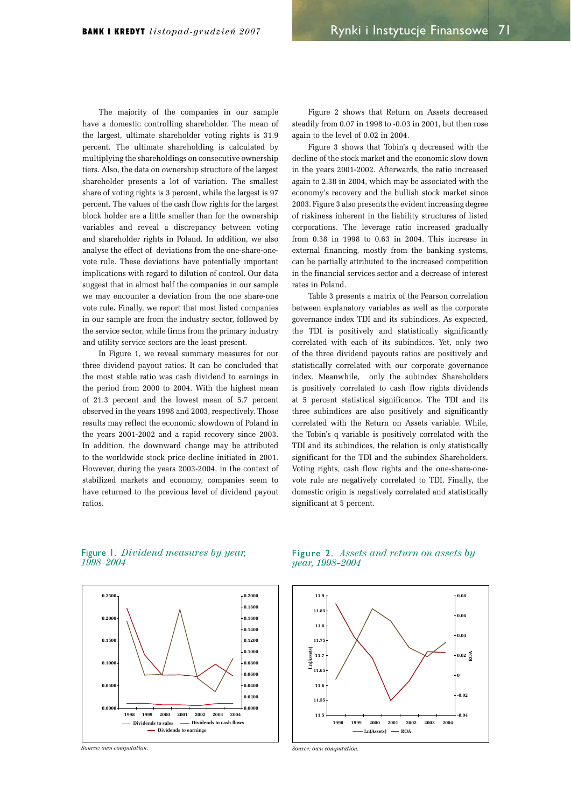The majority of the companies in our sample have a domestic controlling shareholder. The mean of the largest, ultimate shareholder voting rights is 31.9 percent. The ultimate shareholding is calculated by multiplying the shareholdings on consecutive ownership tiers. Also, the data on ownership structure of the largest shareholder presents a lot of variation. The smallest share of voting rights is 3 percent, while the largest is 97 percent. The values of the cash flow rights for the largest block holder are a little smaller than for the ownership variables and reveal a discrepancy between voting and shareholder rights in Poland. In addition, we also analyse the effect of deviations from the one-share-onevote rule. These deviations have potentially important implications with regard to dilution of control. Our data suggest that in almost half the companies in our sample we may encounter a deviation from the one share-one vote rule**.** Finally, we report that most listed companies in our sample are from the industry sector, followed by the service sector, while firms from the primary industry and utility service sectors are the least present.

In Figure 1, we reveal summary measures for our three dividend payout ratios. It can be concluded that the most stable ratio was cash dividend to earnings in the period from 2000 to 2004. With the highest mean of 21.3 percent and the lowest mean of 5.7 percent observed in the years 1998 and 2003, respectively. Those results may reflect the economic slowdown of Poland in the years 2001-2002 and a rapid recovery since 2003. In addition, the downward change may be attributed to the worldwide stock price decline initiated in 2001. However, during the years 2003-2004, in the context of stabilized markets and economy, companies seem to have returned to the previous level of dividend payout ratios.

Figure 2 shows that Return on Assets decreased steadily from 0.07 in 1998 to -0.03 in 2001, but then rose again to the level of 0.02 in 2004.

Figure 3 shows that Tobin's q decreased with the decline of the stock market and the economic slow down in the years 2001-2002. Afterwards, the ratio increased again to 2.38 in 2004, which may be associated with the economy's recovery and the bullish stock market since 2003. Figure 3 also presents the evident increasing degree of riskiness inherent in the liability structures of listed corporations. The leverage ratio increased gradually from 0.38 in 1998 to 0.63 in 2004. This increase in external financing, mostly from the banking systems, can be partially attributed to the increased competition in the financial services sector and a decrease of interest rates in Poland.

Table 3 presents a matrix of the Pearson correlation between explanatory variables as well as the corporate governance index TDI and its subindices. As expected, the TDI is positively and statistically significantly correlated with each of its subindices. Yet, only two of the three dividend payouts ratios are positively and statistically correlated with our corporate governance index. Meanwhile, only the subindex Shareholders is positively correlated to cash flow rights dividends at 5 percent statistical significance. The TDI and its three subindices are also positively and significantly correlated with the Return on Assets variable. While, the Tobin's q variable is positively correlated with the TDI and its subindices, the relation is only statistically significant for the TDI and the subindex Shareholders. Voting rights, cash flow rights and the one-share-onevote rule are negatively correlated to TDI. Finally, the domestic origin is negatively correlated and statistically significant at 5 percent.

Figure 1. *Dividend measures by year*, *ļ*



*Source: own computation* 

Figure 2. Assets and return on assets by *year*, 1998-2004



*Source: own commutation*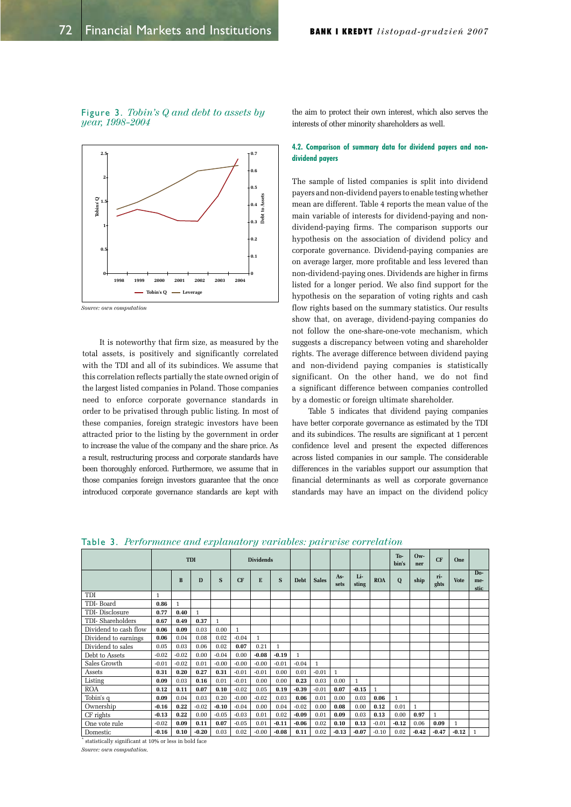Figure 3. Tobin's Q and debt to assets by *year*, 1998-2004



 $Source: own computation$ 

It is noteworthy that firm size, as measured by the total assets, is positively and significantly correlated with the TDI and all of its subindices. We assume that this correlation reflects partially the state owned origin of the largest listed companies in Poland. Those companies need to enforce corporate governance standards in order to be privatised through public listing. In most of these companies, foreign strategic investors have been attracted prior to the listing by the government in order to increase the value of the company and the share price. As a result, restructuring process and corporate standards have been thoroughly enforced. Furthermore, we assume that in those companies foreign investors guarantee that the once introduced corporate governance standards are kept with the aim to protect their own interest, which also serves the interests of other minority shareholders as well.

## 4.2. Comparison of summary data for dividend payers and nondividend payers

The sample of listed companies is split into dividend payers and non-dividend payers to enable testing whether mean are different. Table 4 reports the mean value of the main variable of interests for dividend-paying and nondividend-paying firms. The comparison supports our hypothesis on the association of dividend policy and corporate governance. Dividend-paying companies are on average larger, more profitable and less levered than non-dividend-paying ones. Dividends are higher in firms listed for a longer period. We also find support for the hypothesis on the separation of voting rights and cash flow rights based on the summary statistics. Our results show that, on average, dividend-paying companies do not follow the one-share-one-vote mechanism, which suggests a discrepancy between voting and shareholder rights. The average difference between dividend paying and non-dividend paying companies is statistically significant. On the other hand, we do not find a significant difference between companies controlled by a domestic or foreign ultimate shareholder.

Table 5 indicates that dividend paying companies have better corporate governance as estimated by the TDI and its subindices. The results are significant at 1 percent confidence level and present the expected differences across listed companies in our sample. The considerable differences in the variables support our assumption that financial determinants as well as corporate governance standards may have an impact on the dividend policy

|  |  | <b>Table 3.</b> Performance and explanatory variables: pairwise correlation |  |  |  |  |  |  |
|--|--|-----------------------------------------------------------------------------|--|--|--|--|--|--|
|--|--|-----------------------------------------------------------------------------|--|--|--|--|--|--|

|                       |              |              | <b>TDI</b>   |              |              | <b>Dividends</b> |              |              |              |            |              |              | To-<br>bin's | $0w -$<br>ner | CF           | One          |                                 |
|-----------------------|--------------|--------------|--------------|--------------|--------------|------------------|--------------|--------------|--------------|------------|--------------|--------------|--------------|---------------|--------------|--------------|---------------------------------|
|                       |              | B            | D            | S            | CF           | E                | S            | <b>Debt</b>  | <b>Sales</b> | As<br>sets | Li-<br>sting | <b>ROA</b>   | Q            | ship          | ri-<br>ghts  | <b>Vote</b>  | D <sub>0</sub> -<br>me-<br>stic |
| TDI                   | $\mathbf{1}$ |              |              |              |              |                  |              |              |              |            |              |              |              |               |              |              |                                 |
| TDI-Board             | 0.86         | $\mathbf{1}$ |              |              |              |                  |              |              |              |            |              |              |              |               |              |              |                                 |
| TDI-Disclosure        | 0.77         | 0.40         | $\mathbf{1}$ |              |              |                  |              |              |              |            |              |              |              |               |              |              |                                 |
| TDI-Shareholders      | 0.67         | 0.49         | 0.37         | $\mathbf{1}$ |              |                  |              |              |              |            |              |              |              |               |              |              |                                 |
| Dividend to cash flow | 0.06         | 0.09         | 0.03         | 0.00         | $\mathbf{1}$ |                  |              |              |              |            |              |              |              |               |              |              |                                 |
| Dividend to earnings  | 0.06         | 0.04         | 0.08         | 0.02         | $-0.04$      | $\mathbf{1}$     |              |              |              |            |              |              |              |               |              |              |                                 |
| Dividend to sales     | 0.05         | 0.03         | 0.06         | 0.02         | 0.07         | 0.21             | $\mathbf{1}$ |              |              |            |              |              |              |               |              |              |                                 |
| Debt to Assets        | $-0.02$      | $-0.02$      | 0.00         | $-0.04$      | 0.00         | $-0.08$          | $-0.19$      | $\mathbf{1}$ |              |            |              |              |              |               |              |              |                                 |
| Sales Growth          | $-0.01$      | $-0.02$      | 0.01         | $-0.00$      | $-0.00$      | $-0.00$          | $-0.01$      | $-0.04$      | $\mathbf{1}$ |            |              |              |              |               |              |              |                                 |
| Assets                | 0.31         | 0.20         | 0.27         | 0.31         | $-0.01$      | $-0.01$          | 0.00         | 0.01         | $-0.01$      | 1          |              |              |              |               |              |              |                                 |
| Listing               | 0.09         | 0.03         | 0.16         | 0.01         | $-0.01$      | 0.00             | 0.00         | 0.23         | 0.03         | 0.00       | $\mathbf{1}$ |              |              |               |              |              |                                 |
| <b>ROA</b>            | 0.12         | 0.11         | 0.07         | 0.10         | $-0.02$      | 0.05             | 0.19         | $-0.39$      | $-0.01$      | 0.07       | $-0.15$      | $\mathbf{1}$ |              |               |              |              |                                 |
| Tobin's q             | 0.09         | 0.04         | 0.03         | 0.20         | $-0.00$      | $-0.02$          | 0.03         | 0.06         | 0.01         | 0.00       | 0.03         | 0.06         | $\mathbf{1}$ |               |              |              |                                 |
| Ownership             | $-0.16$      | 0.22         | $-0.02$      | $-0.10$      | $-0.04$      | 0.00             | 0.04         | $-0.02$      | 0.00         | 0.08       | 0.00         | 0.12         | 0.01         | $\mathbf{1}$  |              |              |                                 |
| CF rights             | $-0.13$      | 0.22         | 0.00         | $-0.05$      | $-0.03$      | 0.01             | 0.02         | $-0.09$      | 0.01         | 0.09       | 0.03         | 0.13         | 0.00         | 0.97          | $\mathbf{1}$ |              |                                 |
| One vote rule         | $-0.02$      | 0.09         | 0.11         | 0.07         | $-0.05$      | 0.01             | $-0.11$      | -0.06        | 0.02         | 0.10       | 0.13         | $-0.01$      | $-0.12$      | 0.06          | 0.09         | $\mathbf{1}$ |                                 |
| Domestic              | $-0.16$      | 0.10         | $-0.20$      | 0.03         | 0.02         | $-0.00$          | $-0.08$      | 0.11         | 0.02         | $-0.13$    | $-0.07$      | $-0.10$      | 0.02         | $-0.42$       | $-0.47$      | $-0.12$      | $\mathbf{1}$                    |

 $*$  statistically significant at 10% or less in bold face

*Source: own computation.*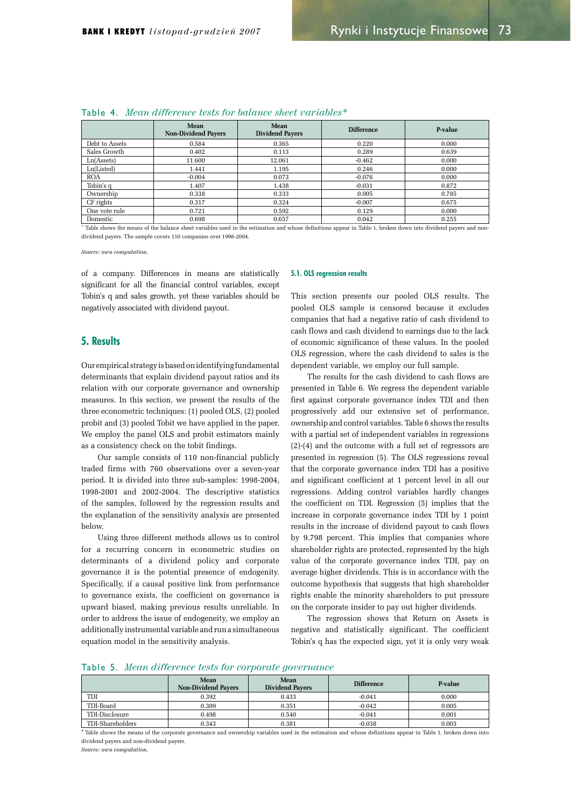|                                  | <b>Mean</b><br><b>Non-Dividend Payers</b> | Mean<br><b>Dividend Pavers</b> | <b>Difference</b> | P-value |  |  |  |  |  |  |  |
|----------------------------------|-------------------------------------------|--------------------------------|-------------------|---------|--|--|--|--|--|--|--|
| Debt to Assets                   | 0.584                                     | 0.365                          | 0.220             | 0.000   |  |  |  |  |  |  |  |
| Sales Growth                     | 0.402                                     | 0.113                          | 0.289             | 0.639   |  |  |  |  |  |  |  |
| Ln(A <sub>s</sub> <sub>s</sub> ) | 11.600                                    | 12.061                         | $-0.462$          | 0.000   |  |  |  |  |  |  |  |
| Ln(Listed)                       | 1.441                                     | 1.195                          | 0.246             | 0.000   |  |  |  |  |  |  |  |
| <b>ROA</b>                       | $-0.004$                                  | 0.073                          | $-0.076$          | 0.000   |  |  |  |  |  |  |  |
| Tobin's q                        | 1.407                                     | 1.438                          | $-0.031$          | 0.872   |  |  |  |  |  |  |  |
| Ownership                        | 0.338                                     | 0.333                          | 0.005             | 0.785   |  |  |  |  |  |  |  |
| CF rights                        | 0.317                                     | 0.324                          | $-0.007$          | 0.675   |  |  |  |  |  |  |  |
| One vote rule                    | 0.721                                     | 0.592                          | 0.129             | 0.000   |  |  |  |  |  |  |  |
| Domestic                         | 0.698                                     | 0.657                          | 0.042             | 0.255   |  |  |  |  |  |  |  |

## Table 4. Mean difference tests for balance sheet variables<sup>\*</sup>

\* Table shows the means of the balance sheet variables used in the estimation and whose definitions appear in Table 1, broken down into dividend payers and nondividend payers. The sample covers 110 companies over 1998-2004.

 $Source: own computation.$ 

of a company. Differences in means are statistically significant for all the financial control variables, except Tobin's q and sales growth, yet these variables should be negatively associated with dividend payout.

## 5. Results

Our empirical strategy is based on identifying fundamental determinants that explain dividend payout ratios and its relation with our corporate governance and ownership measures. In this section, we present the results of the three econometric techniques: (1) pooled OLS, (2) pooled probit and (3) pooled Tobit we have applied in the paper. We employ the panel OLS and probit estimators mainly as a consistency check on the tobit findings.

Our sample consists of 110 non-financial publicly traded firms with 760 observations over a seven-year period. It is divided into three sub-samples: 1998-2004, 1998-2001 and 2002-2004. The descriptive statistics of the samples, followed by the regression results and the explanation of the sensitivity analysis are presented below.

Using three different methods allows us to control for a recurring concern in econometric studies on determinants of a dividend policy and corporate governance it is the potential presence of endogenity. Specifically, if a causal positive link from performance to governance exists, the coefficient on governance is upward biased, making previous results unreliable. In order to address the issue of endogeneity, we employ an additionally instrumental variable and run a simultaneous equation model in the sensitivity analysis.

#### 5.1. OLS regression results

This section presents our pooled OLS results. The pooled OLS sample is censored because it excludes companies that had a negative ratio of cash dividend to cash flows and cash dividend to earnings due to the lack of economic significance of these values. In the pooled OLS regression, where the cash dividend to sales is the dependent variable, we employ our full sample.

The results for the cash dividend to cash flows are presented in Table 6. We regress the dependent variable first against corporate governance index TDI and then progressively add our extensive set of performance, ownership and control variables. Table 6 shows the results with a partial set of independent variables in regressions  $(2)-(4)$  and the outcome with a full set of regressors are presented in regression (5). The OLS regressions reveal that the corporate governance index TDI has a positive and significant coefficient at 1 percent level in all our regressions. Adding control variables hardly changes the coefficient on TDI. Regression (5) implies that the increase in corporate governance index TDI by 1 point results in the increase of dividend payout to cash flows by 9.798 percent. This implies that companies where shareholder rights are protected, represented by the high value of the corporate governance index TDI, pay on average higher dividends. This is in accordance with the outcome hypothesis that suggests that high shareholder rights enable the minority shareholders to put pressure on the corporate insider to pay out higher dividends.

The regression shows that Return on Assets is negative and statistically significant. The coefficient Tobin's q has the expected sign, yet it is only very weak

## Table 5. Mean difference tests for corporate governance

|                  | <b>Mean</b><br><b>Non-Dividend Pavers</b> | <b>Mean</b><br><b>Dividend Pavers</b> | <b>Difference</b> | P-value |
|------------------|-------------------------------------------|---------------------------------------|-------------------|---------|
| TDI              | 0.392                                     | 0.433                                 | $-0.041$          | 0.000   |
| TDI-Board        | 0.309                                     | 0.351                                 | $-0.042$          | 0.005   |
| TDI-Disclosure   | 0.498                                     | 0.540                                 | $-0.041$          | 0.001   |
| TDI-Shareholders | 0.343                                     | 0.381                                 | $-0.038$          | 0.003   |

**\*** Table shows the means of the corporate governance and ownership variables used in the estimation and whose definitions appear in Table 1, broken down into dividend payers and non-dividend payers.

*Source: own computation.*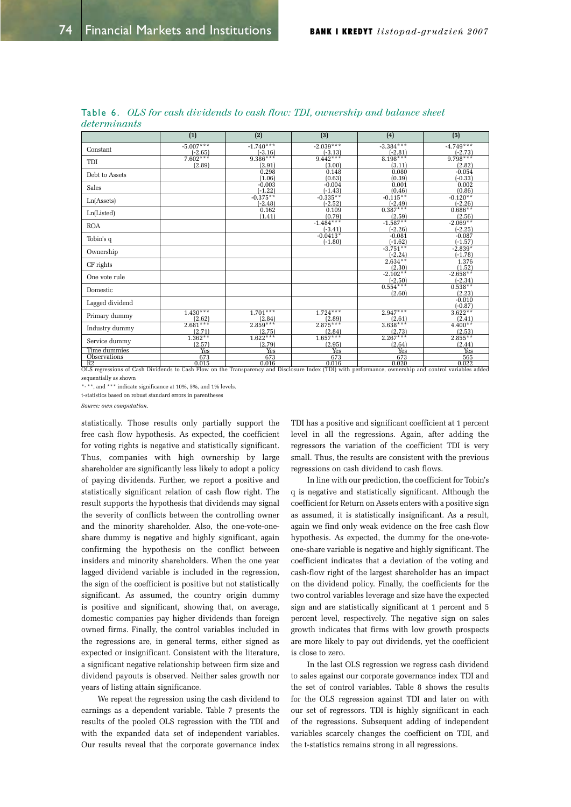|                     | (1)                     | (2)                     | (3)                      | (4)                     | (5)                     |
|---------------------|-------------------------|-------------------------|--------------------------|-------------------------|-------------------------|
| Constant            | $-5.007***$             | $-1.740***$             | $-2.039***$              | $-3.384***$             | $-4.749***$             |
|                     | $(-2.65)$<br>$7.602***$ | $(-3.16)$<br>$9.386***$ | $(-3.13)$<br>$9.442***$  | $(-2.81)$<br>$8.198***$ | $(-2.73)$<br>$9.798***$ |
| TDI                 | (2.89)                  | (2.91)                  | (3.00)                   | (3.11)                  | (2.82)                  |
| Debt to Assets      |                         | 0.298<br>(1.06)         | 0.148<br>(0.63)          | 0.080<br>(0.39)         | $-0.054$<br>$(-0.33)$   |
| Sales               |                         | $-0.003$<br>$(-1.22)$   | $-0.004$<br>$(-1.43)$    | 0.001<br>(0.46)         | 0.002<br>(0.86)         |
| Ln(A <sub>s</sub> ) |                         | $-0.375**$<br>$-2.48$   | $-0.335**$<br>$(-2.52)$  | $-0.115**$<br>$(-2.49)$ | $-0.120**$<br>$(-2.26)$ |
| Ln(Listed)          |                         | 0.162<br>(1.41)         | 0.109<br>(0.79)          | $0.387***$<br>(2.59)    | $0.686**$<br>(2.56)     |
| <b>ROA</b>          |                         |                         | $-1.484***$<br>$(-3.41)$ | $-1.587**$<br>$(-2.26)$ | $-2.069**$<br>$(-2.25)$ |
| Tobin's q           |                         |                         | $-0.0413*$<br>$(-1.80)$  | $-0.081$<br>$(-1.62)$   | $-0.087$<br>$(-1.57)$   |
| Ownership           |                         |                         |                          | $-3.751**$<br>$(-2.24)$ | $-2.839*$<br>$(-1.78)$  |
| CF rights           |                         |                         |                          | $2.634***$<br>(2.30)    | 1.376<br>(1.52)         |
| One vote rule       |                         |                         |                          | $-2.102**$<br>$(-2.50)$ | $-2.658**$<br>$(-2.34)$ |
| Domestic            |                         |                         |                          | $0.554***$<br>(2.60)    | $0.538**$<br>(2.23)     |
| Lagged dividend     |                         |                         |                          |                         | $-0.010$<br>$(-0.87)$   |
| Primary dummy       | $1.430***$<br>(2.62)    | $1.701***$<br>(2.84)    | $1.724***$<br>(2.89)     | $2.947***$<br>(2.61)    | $3.622**$<br>(2.41)     |
| Industry dummy      | $2.681***$<br>(2.71)    | $2.859***$<br>(2.75)    | $2.875***$<br>(2.84)     | $3.638***$<br>(2.73)    | $4.400**$<br>(2.53)     |
| Service dummy       | $1.362**$<br>(2.57)     | $1.622***$<br>(2.79)    | $1.657***$<br>(2.95)     | $2.267***$<br>(2.64)    | $2.855**$<br>(2.44)     |
| Time dummies        | <b>Yes</b>              | <b>Yes</b>              | <b>Yes</b>               | <b>Yes</b>              | <b>Yes</b>              |
| <b>Observations</b> | 673                     | 673                     | 673                      | 673                     | 565                     |
| R <sub>2</sub>      | 0.015                   | 0.016                   | 0.016                    | 0.020                   | 0.022                   |

Table 6. OLS for cash dividends to cash flow: TDI, ownership and balance sheet  $determinants$ 

OLS regressions of Cash Dividends to Cash Flow on the Transparency and Disclosure Index (TDI) with performance, ownership and control variables added sequentially as shown

\*, \*\*, and \*\*\* indicate significance at 10%, 5%, and 1% levels.

t-statistics based on robust standard errors in parentheses

*Source: own computation.* 

statistically. Those results only partially support the free cash flow hypothesis. As expected, the coefficient for voting rights is negative and statistically significant. Thus, companies with high ownership by large shareholder are significantly less likely to adopt a policy of paying dividends. Further, we report a positive and statistically significant relation of cash flow right. The result supports the hypothesis that dividends may signal the severity of conflicts between the controlling owner and the minority shareholder. Also, the one-vote-oneshare dummy is negative and highly significant, again confirming the hypothesis on the conflict between insiders and minority shareholders. When the one year lagged dividend variable is included in the regression, the sign of the coefficient is positive but not statistically significant. As assumed, the country origin dummy is positive and significant, showing that, on average, domestic companies pay higher dividends than foreign owned firms. Finally, the control variables included in the regressions are, in general terms, either signed as expected or insignificant. Consistent with the literature, a significant negative relationship between firm size and dividend payouts is observed. Neither sales growth nor years of listing attain significance.

We repeat the regression using the cash dividend to earnings as a dependent variable. Table 7 presents the results of the pooled OLS regression with the TDI and with the expanded data set of independent variables. Our results reveal that the corporate governance index TDI has a positive and significant coefficient at 1 percent level in all the regressions. Again, after adding the regressors the variation of the coefficient TDI is very small. Thus, the results are consistent with the previous regressions on cash dividend to cash flows.

In line with our prediction, the coefficient for Tobin's q is negative and statistically significant. Although the coefficient for Return on Assets enters with a positive sign as assumed, it is statistically insignificant. As a result, again we find only weak evidence on the free cash flow hypothesis. As expected, the dummy for the one-voteone-share variable is negative and highly significant. The coefficient indicates that a deviation of the voting and cash-flow right of the largest shareholder has an impact on the dividend policy. Finally, the coefficients for the two control variables leverage and size have the expected sign and are statistically significant at 1 percent and 5 percent level, respectively. The negative sign on sales growth indicates that firms with low growth prospects are more likely to pay out dividends, yet the coefficient is close to zero.

In the last OLS regression we regress cash dividend to sales against our corporate governance index TDI and the set of control variables. Table 8 shows the results for the OLS regression against TDI and later on with our set of regressors. TDI is highly significant in each of the regressions. Subsequent adding of independent variables scarcely changes the coefficient on TDI, and the t-statistics remains strong in all regressions.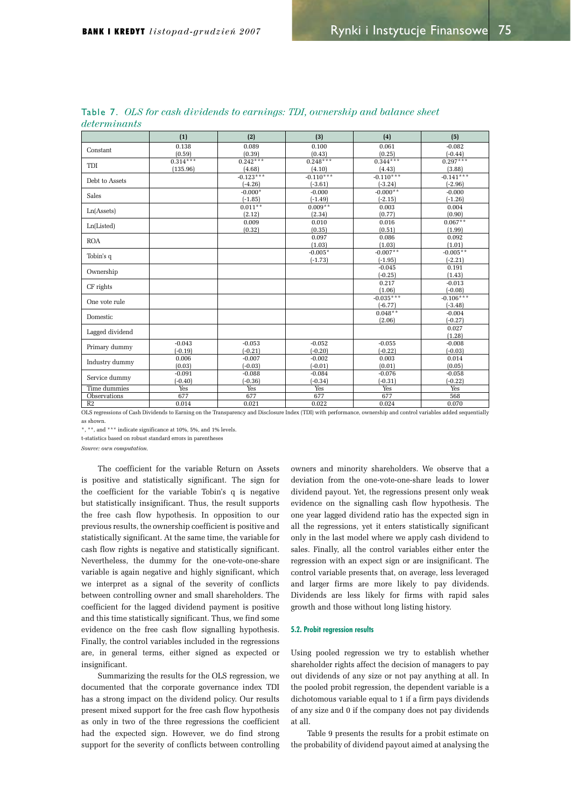|                     | (1)        | (2)         | (3)         | (4)         | (5)         |
|---------------------|------------|-------------|-------------|-------------|-------------|
|                     | 0.138      | 0.089       | 0.100       | 0.061       | $-0.082$    |
| Constant            | (0.59)     | (0.39)      | (0.43)      | (0.25)      | $(-0.44)$   |
| TDI                 | $0.314***$ | $0.242***$  | $0.248***$  | $0.344***$  | $0.297***$  |
|                     | (135.96)   | (4.68)      | (4.10)      | (4.43)      | (3.88)      |
| Debt to Assets      |            | $-0.123***$ | $-0.110***$ | $-0.110***$ | $-0.141***$ |
|                     |            | $(-4.26)$   | $(-3.61)$   | $(-3.24)$   | $(-2.96)$   |
| Sales               |            | $-0.000*$   | $-0.000$    | $-0.000**$  | $-0.000$    |
|                     |            | $(-1.85)$   | $(-1.49)$   | $(-2.15)$   | $(-1.26)$   |
| Ln(A <sub>s</sub> ) |            | $0.011**$   | $0.009**$   | 0.003       | 0.004       |
|                     |            | (2.12)      | (2.34)      | (0.77)      | (0.90)      |
| Ln(Listed)          |            | 0.009       | 0.010       | 0.016       | $0.067**$   |
|                     |            | (0.32)      | (0.35)      | (0.51)      | (1.99)      |
| <b>ROA</b>          |            |             | 0.097       | 0.086       | 0.092       |
|                     |            |             | (1.03)      | (1.03)      | (1.01)      |
| Tobin's q           |            |             | $-0.005*$   | $-0.007**$  | $-0.005**$  |
|                     |            |             | $(-1.73)$   | $(-1.95)$   | $(-2.21)$   |
| Ownership           |            |             |             | $-0.045$    | 0.191       |
|                     |            |             |             | $(-0.25)$   | (1.43)      |
| CF rights           |            |             |             | 0.217       | $-0.013$    |
|                     |            |             |             | (1.06)      | $(-0.08)$   |
| One vote rule       |            |             |             | $-0.035***$ | $-0.106***$ |
|                     |            |             |             | $(-6.77)$   | $(-3.48)$   |
| Domestic            |            |             |             | $0.048**$   | $-0.004$    |
|                     |            |             |             | (2.06)      | $(-0.27)$   |
| Lagged dividend     |            |             |             |             | 0.027       |
|                     |            |             |             |             | (1.28)      |
| Primary dummy       | $-0.043$   | $-0.053$    | $-0.052$    | $-0.055$    | $-0.008$    |
|                     | $(-0.19)$  | $(-0.21)$   | $(-0.20)$   | $(-0.22)$   | $(-0.03)$   |
| Industry dummy      | 0.006      | $-0.007$    | $-0.002$    | 0.003       | 0.014       |
|                     | (0.03)     | $(-0.03)$   | $(-0.01)$   | (0.01)      | (0.05)      |
| Service dummy       | $-0.091$   | $-0.088$    | $-0.084$    | $-0.076$    | $-0.058$    |
|                     | $(-0.40)$  | $(-0.36)$   | $(-0.34)$   | $(-0.31)$   | $(-0.22)$   |
| Time dummies        | Yes        | Yes         | Yes         | Yes         | Yes         |
| Observations        | 677        | 677         | 677         | 677         | 568         |
| R <sub>2</sub>      | 0.014      | 0.021       | 0.022       | 0.024       | 0.070       |

Table 7. OLS for cash dividends to earnings: TDI, ownership and balance sheet  $d$ *dotorminante* 

OLS regressions of Cash Dividends to Earning on the Transparency and Disclosure Index (TDI) with performance, ownership and control variables added sequentially as shown.

 $^{\star},$   $^{\star\star},$  and  $^{\star\star\star}$  indicate significance at 10%, 5%, and 1% levels

t-statistics based on robust standard errors in parenthese

*Source*: own commitation

The coefficient for the variable Return on Assets is positive and statistically significant. The sign for the coefficient for the variable Tobin's q is negative but statistically insignificant. Thus, the result supports the free cash flow hypothesis. In opposition to our previous results, the ownership coefficient is positive and statistically significant. At the same time, the variable for cash flow rights is negative and statistically significant. Nevertheless, the dummy for the one-vote-one-share variable is again negative and highly significant, which we interpret as a signal of the severity of conflicts between controlling owner and small shareholders. The coefficient for the lagged dividend payment is positive and this time statistically significant. Thus, we find some evidence on the free cash flow signalling hypothesis. Finally, the control variables included in the regressions are, in general terms, either signed as expected or insignificant.

Summarizing the results for the OLS regression, we documented that the corporate governance index TDI has a strong impact on the dividend policy. Our results present mixed support for the free cash flow hypothesis as only in two of the three regressions the coefficient had the expected sign. However, we do find strong support for the severity of conflicts between controlling owners and minority shareholders. We observe that a deviation from the one-vote-one-share leads to lower dividend payout. Yet, the regressions present only weak evidence on the signalling cash flow hypothesis. The one year lagged dividend ratio has the expected sign in all the regressions, yet it enters statistically significant only in the last model where we apply cash dividend to sales. Finally, all the control variables either enter the regression with an expect sign or are insignificant. The control variable presents that, on average, less leveraged and larger firms are more likely to pay dividends. Dividends are less likely for firms with rapid sales growth and those without long listing history.

#### 5.2. Probit regression results

Using pooled regression we try to establish whether shareholder rights affect the decision of managers to pay out dividends of any size or not pay anything at all. In the pooled probit regression, the dependent variable is a dichotomous variable equal to 1 if a firm pays dividends of any size and 0 if the company does not pay dividends at all.

Table 9 presents the results for a probit estimate on the probability of dividend payout aimed at analysing the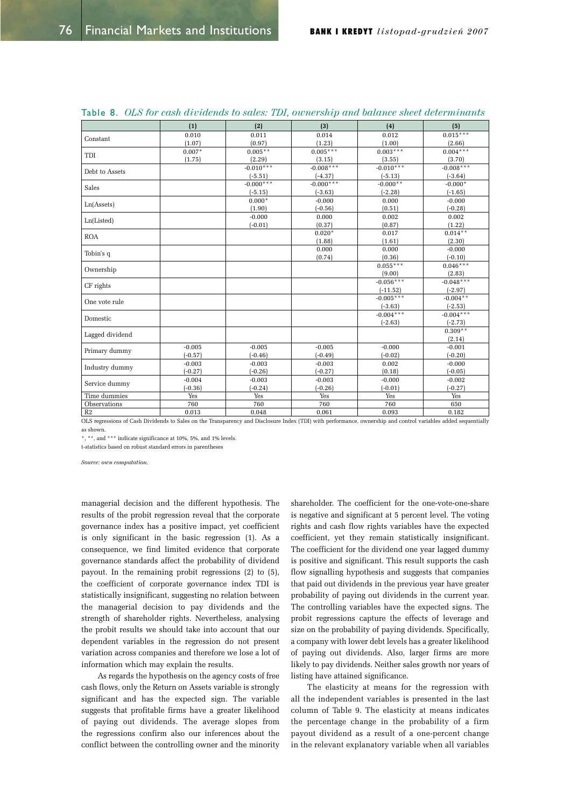|                     | (1)       | (2)         | (3)                                                                                                                                                                                                                                                                                                                                                                                                                                                                                                                                                                                                         | (4)         | (5)         |
|---------------------|-----------|-------------|-------------------------------------------------------------------------------------------------------------------------------------------------------------------------------------------------------------------------------------------------------------------------------------------------------------------------------------------------------------------------------------------------------------------------------------------------------------------------------------------------------------------------------------------------------------------------------------------------------------|-------------|-------------|
|                     | 0.010     | 0.011       | 0.014                                                                                                                                                                                                                                                                                                                                                                                                                                                                                                                                                                                                       | 0.012       | $0.015***$  |
| Constant            | (1.07)    | (0.97)      | (1.23)                                                                                                                                                                                                                                                                                                                                                                                                                                                                                                                                                                                                      | (1.00)      | (2.66)      |
| <b>TDI</b>          | $0.007*$  | $0.005**$   | $0.005***$                                                                                                                                                                                                                                                                                                                                                                                                                                                                                                                                                                                                  | $0.003***$  | $0.004***$  |
|                     | (1.75)    | (2.29)      | (3.15)                                                                                                                                                                                                                                                                                                                                                                                                                                                                                                                                                                                                      | (3.55)      | (3.70)      |
| Debt to Assets      |           | $-0.010***$ | $-0.008***$                                                                                                                                                                                                                                                                                                                                                                                                                                                                                                                                                                                                 | $-0.010***$ | $-0.008***$ |
|                     |           | $(-5.51)$   | $(-4.37)$<br>$(-5.13)$<br>$-0.000***$<br>$-0.000**$<br>$(-2.28)$<br>$(-5.15)$<br>$(-3.63)$<br>$0.000*$<br>$-0.000$<br>0.000<br>(1.90)<br>$(-0.56)$<br>(0.51)<br>$-0.000$<br>0.000<br>0.002<br>(0.37)<br>(0.87)<br>$(-0.01)$<br>$0.020*$<br>0.017<br>(1.88)<br>(1.61)<br>0.000<br>0.000<br>(0.74)<br>(0.36)<br>$0.055***$<br>(9.00)<br>$-0.056***$<br>$(-11.52)$<br>$-0.005***$<br>$(-3.63)$<br>$-0.004***$<br>$(-2.63)$<br>$-0.005$<br>$-0.005$<br>$-0.000$<br>$(-0.46)$<br>$(-0.49)$<br>$(-0.02)$<br>$-0.003$<br>$-0.003$<br>0.002<br>$(-0.26)$<br>$(-0.27)$<br>(0.18)<br>$-0.003$<br>$-0.000$<br>$-0.003$ | $(-3.64)$   |             |
| Sales               |           | $-0.000***$ |                                                                                                                                                                                                                                                                                                                                                                                                                                                                                                                                                                                                             |             | $-0.000*$   |
|                     |           |             |                                                                                                                                                                                                                                                                                                                                                                                                                                                                                                                                                                                                             |             | $(-1.65)$   |
|                     |           |             |                                                                                                                                                                                                                                                                                                                                                                                                                                                                                                                                                                                                             |             | $-0.000$    |
| Ln(A <sub>s</sub> ) |           |             |                                                                                                                                                                                                                                                                                                                                                                                                                                                                                                                                                                                                             |             | $(-0.28)$   |
|                     |           |             |                                                                                                                                                                                                                                                                                                                                                                                                                                                                                                                                                                                                             |             | 0.002       |
| Ln(Listed)          |           |             |                                                                                                                                                                                                                                                                                                                                                                                                                                                                                                                                                                                                             |             | (1.22)      |
| <b>ROA</b>          |           |             |                                                                                                                                                                                                                                                                                                                                                                                                                                                                                                                                                                                                             |             | $0.014***$  |
|                     |           |             |                                                                                                                                                                                                                                                                                                                                                                                                                                                                                                                                                                                                             |             | (2.30)      |
|                     |           |             |                                                                                                                                                                                                                                                                                                                                                                                                                                                                                                                                                                                                             |             | $-0.000$    |
| Tobin's q           |           |             |                                                                                                                                                                                                                                                                                                                                                                                                                                                                                                                                                                                                             |             | $(-0.10)$   |
| Ownership           |           |             |                                                                                                                                                                                                                                                                                                                                                                                                                                                                                                                                                                                                             |             | $0.046***$  |
|                     |           |             |                                                                                                                                                                                                                                                                                                                                                                                                                                                                                                                                                                                                             |             | (2.83)      |
| CF rights           |           |             |                                                                                                                                                                                                                                                                                                                                                                                                                                                                                                                                                                                                             |             | $-0.048***$ |
|                     |           |             |                                                                                                                                                                                                                                                                                                                                                                                                                                                                                                                                                                                                             |             | $(-2.97)$   |
| One vote rule       |           |             |                                                                                                                                                                                                                                                                                                                                                                                                                                                                                                                                                                                                             |             | $-0.004**$  |
|                     |           |             |                                                                                                                                                                                                                                                                                                                                                                                                                                                                                                                                                                                                             |             | $(-2.53)$   |
| Domestic            |           |             |                                                                                                                                                                                                                                                                                                                                                                                                                                                                                                                                                                                                             |             | $-0.004***$ |
|                     |           |             |                                                                                                                                                                                                                                                                                                                                                                                                                                                                                                                                                                                                             |             | $(-2.73)$   |
| Lagged dividend     |           |             |                                                                                                                                                                                                                                                                                                                                                                                                                                                                                                                                                                                                             |             | $0.309**$   |
|                     |           |             |                                                                                                                                                                                                                                                                                                                                                                                                                                                                                                                                                                                                             |             | (2.14)      |
| Primary dummy       | $-0.005$  |             |                                                                                                                                                                                                                                                                                                                                                                                                                                                                                                                                                                                                             |             | $-0.001$    |
|                     | $(-0.57)$ |             |                                                                                                                                                                                                                                                                                                                                                                                                                                                                                                                                                                                                             |             | $(-0.20)$   |
| Industry dummy      | $-0.003$  |             |                                                                                                                                                                                                                                                                                                                                                                                                                                                                                                                                                                                                             |             | $-0.000$    |
|                     | $(-0.27)$ |             |                                                                                                                                                                                                                                                                                                                                                                                                                                                                                                                                                                                                             |             | $(-0.05)$   |
| Service dummy       | $-0.004$  |             |                                                                                                                                                                                                                                                                                                                                                                                                                                                                                                                                                                                                             |             | $-0.002$    |
|                     | $(-0.36)$ | $(-0.24)$   | $(-0.26)$                                                                                                                                                                                                                                                                                                                                                                                                                                                                                                                                                                                                   | $(-0.01)$   | $(-0.27)$   |
| Time dummies        | Yes       | Yes         | Yes                                                                                                                                                                                                                                                                                                                                                                                                                                                                                                                                                                                                         | Yes         | Yes         |
| Observations        | 760       | 760         | 760                                                                                                                                                                                                                                                                                                                                                                                                                                                                                                                                                                                                         | 760         | 650         |
| R <sub>2</sub>      | 0.013     | 0.048       | 0.061                                                                                                                                                                                                                                                                                                                                                                                                                                                                                                                                                                                                       | 0.093       | 0.182       |

|  |  |  |  |  |  |  |  |  | Table 8. OLS for cash dividends to sales: TDI, ownership and balance sheet determinants |
|--|--|--|--|--|--|--|--|--|-----------------------------------------------------------------------------------------|
|--|--|--|--|--|--|--|--|--|-----------------------------------------------------------------------------------------|

OLS regressions of Cash Dividends to Sales on the Transparency and Disclosure Index (TDI) with performance, ownership and control variables added sequentially as shown.

\*, \*\*, and \*\*\* indicate significance at 10%, 5%, and 1% levels.

t-statistics based on robust standard errors in parentheses

 $Source: own computation$ 

managerial decision and the different hypothesis. The results of the probit regression reveal that the corporate governance index has a positive impact, yet coefficient is only significant in the basic regression  $(1)$ . As a consequence, we find limited evidence that corporate governance standards affect the probability of dividend payout. In the remaining probit regressions  $(2)$  to  $(5)$ , the coefficient of corporate governance index TDI is statistically insignificant, suggesting no relation between the managerial decision to pay dividends and the strength of shareholder rights. Nevertheless, analysing the probit results we should take into account that our dependent variables in the regression do not present variation across companies and therefore we lose a lot of information which may explain the results.

As regards the hypothesis on the agency costs of free cash flows, only the Return on Assets variable is strongly significant and has the expected sign. The variable suggests that profitable firms have a greater likelihood of paying out dividends. The average slopes from the regressions confirm also our inferences about the conflict between the controlling owner and the minority

shareholder. The coefficient for the one-vote-one-share is negative and significant at 5 percent level. The voting rights and cash flow rights variables have the expected coefficient, yet they remain statistically insignificant. The coefficient for the dividend one year lagged dummy is positive and significant. This result supports the cash flow signalling hypothesis and suggests that companies that paid out dividends in the previous year have greater probability of paying out dividends in the current year. The controlling variables have the expected signs. The probit regressions capture the effects of leverage and size on the probability of paying dividends. Specifically, a company with lower debt levels has a greater likelihood of paying out dividends. Also, larger firms are more likely to pay dividends. Neither sales growth nor years of listing have attained significance.

The elasticity at means for the regression with all the independent variables is presented in the last column of Table 9. The elasticity at means indicates the percentage change in the probability of a firm payout dividend as a result of a one-percent change in the relevant explanatory variable when all variables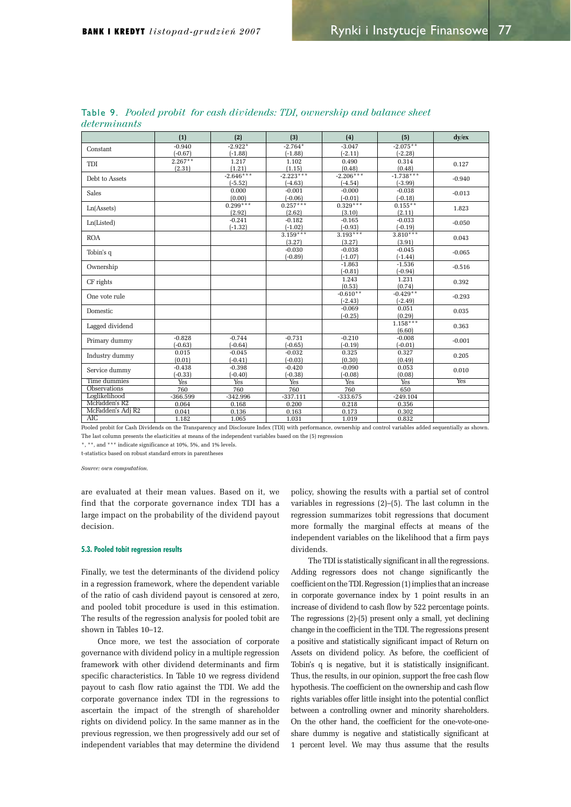|                   | (1)        | (2)         | (3)         | (4)         | (5)         | $dv$ / $ex$ |
|-------------------|------------|-------------|-------------|-------------|-------------|-------------|
| Constant          | $-0.940$   | $-2.922*$   | $-2.764*$   | $-3.047$    | $-2.075**$  |             |
|                   | $(-0.67)$  | $(-1.88)$   | $(-1.88)$   | $(-2.11)$   | $(-2.28)$   |             |
| TDI               | $2.267**$  | 1.217       | 1.102       | 0.490       | 0.314       | 0.127       |
|                   | (2.31)     | (1.21)      | (1.15)      | (0.48)      | (0.48)      |             |
| Debt to Assets    |            | $-2.646***$ | $-2.223***$ | $-2.206***$ | $-1.738***$ | $-0.940$    |
|                   |            | $(-5.52)$   | $(-4.63)$   | $(-4.54)$   | $(-3.99)$   |             |
| Sales             |            | 0.000       | $-0.001$    | $-0.000$    | $-0.038$    | $-0.013$    |
|                   |            | (0.00)      | $(-0.06)$   | $(-0.01)$   | $(-0.18)$   |             |
| Ln(Assets)        |            | $0.299***$  | $0.257***$  | $0.329***$  | $0.155***$  | 1.823       |
|                   |            | (2.92)      | (2.62)      | (3.10)      | (2.11)      |             |
|                   |            | $-0.241$    | $-0.182$    | $-0.165$    | $-0.033$    | $-0.050$    |
| Ln(Listed)        |            | $(-1.32)$   | $(-1.02)$   | $(-0.93)$   | $(-0.19)$   |             |
| <b>ROA</b>        |            |             | $3.159***$  | $3.193***$  | $3.810***$  | 0.043       |
|                   |            |             | (3.27)      | (3.27)      | (3.91)      |             |
| Tobin's q         |            |             | $-0.030$    | $-0.038$    | $-0.045$    | $-0.065$    |
|                   |            |             | $(-0.89)$   | $(-1.07)$   | $(-1.44)$   |             |
| Ownership         |            |             |             | $-1.863$    | $-1.536$    | $-0.516$    |
|                   |            |             |             | $(-0.81)$   | $(-0.94)$   |             |
| CF rights         |            |             |             | 1.243       | 1.231       | 0.392       |
|                   |            |             |             | (0.53)      | (0.74)      |             |
| One vote rule     |            |             |             | $-0.610**$  | $-0.429**$  | $-0.293$    |
|                   |            |             |             | $(-2.43)$   | $(-2.49)$   |             |
| Domestic          |            |             |             | $-0.069$    | 0.051       |             |
|                   |            |             |             | $(-0.25)$   | (0.29)      | 0.035       |
|                   |            |             |             |             | $1.158***$  |             |
| Lagged dividend   |            |             |             |             | (6.60)      | 0.363       |
|                   | $-0.828$   | $-0.744$    | $-0.731$    | $-0.210$    | $-0.008$    |             |
| Primary dummy     | $(-0.63)$  | $(-0.64)$   | $(-0.65)$   | $(-0.19)$   | $(-0.01)$   | $-0.001$    |
|                   | 0.015      | $-0.045$    | $-0.032$    | 0.325       | 0.327       |             |
| Industry dummy    | (0.01)     | $(-0.41)$   | $(-0.03)$   | (0.30)      | (0.49)      | 0.205       |
|                   | $-0.438$   | $-0.398$    | $-0.420$    | $-0.090$    | 0.053       |             |
| Service dummy     | $(-0.33)$  | $(-0.40)$   | $(-0.38)$   | $(-0.08)$   | (0.08)      | 0.010       |
| Time dummies      | Yes        | Yes         | Yes         | Yes         | Yes         | Yes         |
| Observations      | 760        | 760         | 760         | 760         | 650         |             |
| Loglikelihood     | $-366.599$ | $-342.996$  | $-337.111$  | $-333.675$  | $-249.104$  |             |
| McFadden's R2     | 0.064      | 0.168       | 0.200       | 0.218       | 0.356       |             |
| McFadden's Adj R2 | 0.041      | 0.136       | 0.163       | 0.173       | 0.302       |             |
|                   |            |             |             |             |             |             |

Table 9. Pooled probit for cash dividends: TDI, ownership and balance sheet  $d*otorminant*$ 

Pooled probit for Cash Dividends on the Transparency and Disclosure Index (TDI) with performance, ownership and control variables added sequentially as shown. The last column presents the elasticities at means of the independent variables based on the (5) regression

 $^{\star},$   $^{\star\star},$  and  $^{\star\star\star}$  indicate significance at 10%, 5%, and 1% levels.

t-statistics based on robust standard errors in parentheses

*Source: own computation.* 

are evaluated at their mean values. Based on it, we find that the corporate governance index TDI has a large impact on the probability of the dividend payout decision.

#### 5.3. Pooled tobit regression results

Finally, we test the determinants of the dividend policy in a regression framework, where the dependent variable of the ratio of cash dividend payout is censored at zero, and pooled tobit procedure is used in this estimation. The results of the regression analysis for pooled tobit are shown in Tables  $10-12$ .

Once more, we test the association of corporate governance with dividend policy in a multiple regression framework with other dividend determinants and firm specific characteristics. In Table 10 we regress dividend payout to cash flow ratio against the TDI. We add the corporate governance index TDI in the regressions to ascertain the impact of the strength of shareholder rights on dividend policy. In the same manner as in the previous regression, we then progressively add our set of independent variables that may determine the dividend

policy, showing the results with a partial set of control variables in regressions  $(2)$ – $(5)$ . The last column in the regression summarizes tobit regressions that document more formally the marginal effects at means of the independent variables on the likelihood that a firm pays dividends.

The TDI is statistically significant in all the regressions. Adding regressors does not change significantly the coefficient on the TDI, Regression (1) implies that an increase in corporate governance index by 1 point results in an increase of dividend to cash flow by 522 percentage points. The regressions  $(2)$ - $(5)$  present only a small, yet declining change in the coefficient in the TDI. The regressions present a positive and statistically significant impact of Return on Assets on dividend policy. As before, the coefficient of Tobin's q is negative, but it is statistically insignificant. Thus, the results, in our opinion, support the free cash flow hypothesis. The coefficient on the ownership and cash flow rights variables offer little insight into the potential conflict between a controlling owner and minority shareholders. On the other hand, the coefficient for the one-vote-oneshare dummy is negative and statistically significant at 1 percent level. We may thus assume that the results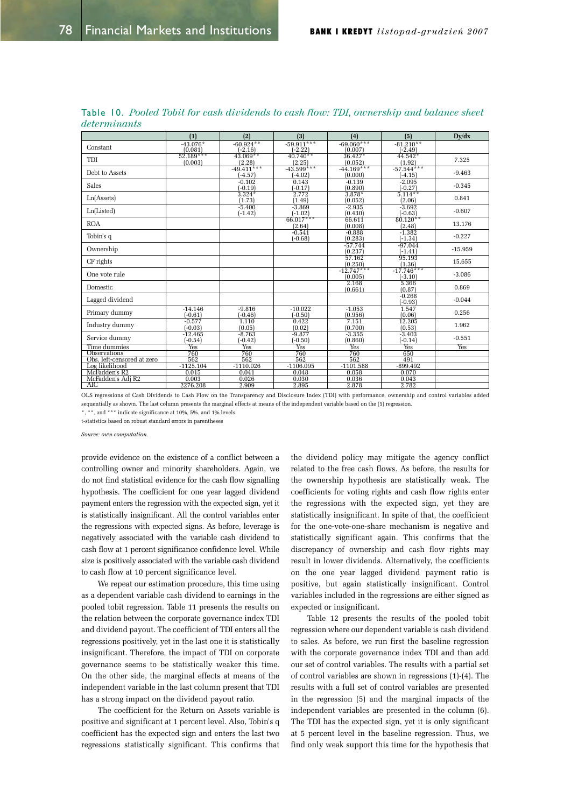|                                              | (1)                    | (2)                       | (3)                       | (4)                     | (5)                       | Dv/dx     |
|----------------------------------------------|------------------------|---------------------------|---------------------------|-------------------------|---------------------------|-----------|
| Constant                                     | $-43.076*$<br>(0.081)  | $-60.924**$<br>$(-2.16)$  | $-59.911***$<br>$(-2.22)$ | $-69.060***$<br>(0.007) | $-81.210**$<br>$(-2.49)$  |           |
| TDI                                          | $52.189***$<br>(0.003) | $43.069**$<br>(2.28)      | $40.740**$<br>(2.25)      | $36.427*$<br>(0.052)    | $44.542*$<br>(1.92)       | 7.325     |
| Debt to Assets                               |                        | $-49.411***$<br>$(-4.57)$ | $-43.599***$<br>$(-4.02)$ | $-44.169***$<br>(0.000) | $-57.544***$<br>$(-4.15)$ | $-9.463$  |
| Sales                                        |                        | $-0.102$<br>$(-0.19)$     | 0.143<br>$(-0.17)$        | $-0.139$<br>(0.890)     | $-2.095$<br>$(-0.27)$     | $-0.345$  |
| Ln(A <sub>s</sub> )                          |                        | $3.324*$<br>(1.73)        | 2.772<br>(1.49)           | $3.878*$<br>(0.052)     | $5.114***$<br>(2.06)      | 0.841     |
| Ln(Listed)                                   |                        | $-5.400$<br>$(-1.42)$     | $-3.869$<br>$(-1.02)$     | $-2.935$<br>(0.430)     | $-3.692$<br>$(-0.63)$     | $-0.607$  |
| <b>ROA</b>                                   |                        |                           | $66.017***$<br>(2.64)     | 66.611<br>(0.008)       | $80.120**$<br>(2.48)      | 13.176    |
| Tobin's q                                    |                        |                           | $-0.541$<br>$(-0.68)$     | $-0.888$<br>(0.283)     | $-1.382$<br>$(-1.34)$     | $-0.227$  |
| Ownership                                    |                        |                           |                           | $-57.744$<br>(0.237)    | $-97.044$<br>$(-1.41)$    | $-15.959$ |
| CF rights                                    |                        |                           |                           | 57.162<br>(0.250)       | 95.193<br>(1.36)          | 15.655    |
| One vote rule                                |                        |                           |                           | $-12.747***$<br>(0.005) | $-17.746***$<br>$(-3.10)$ | $-3.086$  |
| Domestic                                     |                        |                           |                           | 2.168<br>(0.661)        | 5.366<br>(0.87)           | 0.869     |
| Lagged dividend                              |                        |                           |                           |                         | $-0.268$<br>$(-0.93)$     | $-0.044$  |
| Primary dummy                                | $-14.146$<br>$(-0.61)$ | $-9.816$<br>$(-0.46)$     | $-10.022$<br>$(-0.50)$    | $-1.053$<br>(0.956)     | 1.547<br>(0.06)           | 0.256     |
| Industry dummy                               | $-0.577$<br>$(-0.03)$  | 1.110<br>(0.05)           | 0.422<br>(0.02)           | 7.151<br>(0.700)        | 12.205<br>(0.53)          | 1.962     |
| Service dummy                                | $-12.465$<br>$(-0.54)$ | $-8.763$<br>$(-0.42)$     | $-9.877$<br>$(-0.50)$     | $-3.355$<br>(0.860)     | $-3.403$<br>$-0.14$       | $-0.551$  |
| Time dummies                                 | Yes                    | Yes                       | Yes                       | Yes                     | Yes <sup></sup>           | Yes       |
| <b>Observations</b>                          | 760                    | 760                       | 760                       | 760                     | 650                       |           |
| Obs. left-censored at zero<br>Log likelihood | 562<br>$-1125.104$     | 562<br>$-1110.026$        | 562<br>$-1106.095$        | 562<br>$-1101.588$      | 491<br>$-899.492$         |           |
| McFadden's R2                                | 0.015                  | 0.041                     | 0.048                     | 0.058                   | 0.070                     |           |
| McFadden's Adi R2                            | 0.003                  | 0.026                     | 0.030                     | 0.036                   | 0.043                     |           |
| AIC                                          | 2276.208               | 2.909                     | 2.895                     | 2.878                   | 2.782                     |           |

Table 10. Pooled Tobit for cash dividends to cash flow: TDI, ownership and balance sheet  $determinants$ 

OLS regressions of Cash Dividends to Cash Flow on the Transparency and Disclosure Index (TDI) with performance, ownership and control variables added sequentially as shown. The last column presents the marginal effects at means of the independent variable based on the (5) regression.

\*, \*\*, and \*\*\* indicate significance at 10%, 5%, and 1% levels. t-statistics based on robust standard errors in parentheses

*Source: own computation.* 

provide evidence on the existence of a conflict between a controlling owner and minority shareholders. Again, we do not find statistical evidence for the cash flow signalling hypothesis. The coefficient for one year lagged dividend payment enters the regression with the expected sign, yet it is statistically insignificant. All the control variables enter the regressions with expected signs. As before, leverage is negatively associated with the variable cash dividend to cash flow at 1 percent significance confidence level. While size is positively associated with the variable cash dividend to cash flow at 10 percent significance level.

We repeat our estimation procedure, this time using as a dependent variable cash dividend to earnings in the pooled tobit regression. Table 11 presents the results on the relation between the corporate governance index TDI and dividend payout. The coefficient of TDI enters all the regressions positively, yet in the last one it is statistically insignificant. Therefore, the impact of TDI on corporate governance seems to be statistically weaker this time. On the other side, the marginal effects at means of the independent variable in the last column present that TDI has a strong impact on the dividend payout ratio.

The coefficient for the Return on Assets variable is positive and significant at 1 percent level. Also, Tobin's q coefficient has the expected sign and enters the last two regressions statistically significant. This confirms that the dividend policy may mitigate the agency conflict related to the free cash flows. As before, the results for the ownership hypothesis are statistically weak. The coefficients for voting rights and cash flow rights enter the regressions with the expected sign, yet they are statistically insignificant. In spite of that, the coefficient for the one-vote-one-share mechanism is negative and statistically significant again. This confirms that the discrepancy of ownership and cash flow rights may result in lower dividends. Alternatively, the coefficients on the one year lagged dividend payment ratio is positive, but again statistically insignificant. Control variables included in the regressions are either signed as expected or insignificant.

Table 12 presents the results of the pooled tobit regression where our dependent variable is cash dividend to sales. As before, we run first the baseline regression with the corporate governance index TDI and than add our set of control variables. The results with a partial set of control variables are shown in regressions  $(1)-(4)$ . The results with a full set of control variables are presented in the regression (5) and the marginal impacts of the independent variables are presented in the column (6). The TDI has the expected sign, yet it is only significant at 5 percent level in the baseline regression. Thus, we find only weak support this time for the hypothesis that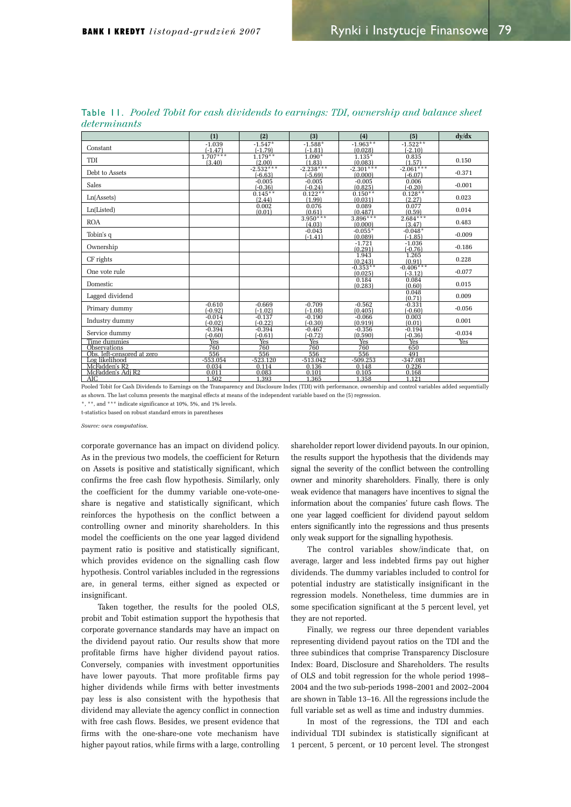|                                            | (1)                     | (2)                    | (3)                    | (4)                   | (5)                   | dy/dx      |
|--------------------------------------------|-------------------------|------------------------|------------------------|-----------------------|-----------------------|------------|
| Constant                                   | $-1.039$                | $-1.547*$              | $-1.588*$              | $-1.963**$            | $-1.522**$            |            |
|                                            | $(-1.47)$<br>$1.707***$ | $(-1.79)$<br>$1.179**$ | $(-1.81)$<br>$1.090*$  | (0.028)<br>$1.135*$   | $(-2.10)$<br>0.835    |            |
| TDI                                        | (3.40)                  | (2.00)                 | (1.83)                 | (0.083)               | (1.57)                | 0.150      |
| Debt to Assets                             |                         | $-2.532***$            | $-2.238***$            | $-2.301***$           | $-2.061***$           |            |
|                                            |                         | $(-6.63)$              | $(-5.69)$              | (0.000)               | $(-6.07)$             | $-0.371$   |
| Sales                                      |                         | $-0.005$               | $-0.005$               | $-0.005$<br>(0.825)   | 0.006                 | $-0.001$   |
|                                            |                         | $(-0.36)$<br>$0.145**$ | $(-0.24)$<br>$0.122**$ | $0.150**$             | $-0.20$<br>$0.128**$  |            |
| Ln(A <sub>s</sub> )                        |                         | (2.44)                 | (1.99)                 | (0.031)               | (2.27)                | 0.023      |
|                                            |                         | 0.002                  | 0.076                  | 0.089                 | 0.077                 | 0.014      |
| Ln(Listed)                                 |                         | (0.01)                 | (0.61)                 | (0.487)               | (0.59)                |            |
| <b>ROA</b>                                 |                         |                        | $3.950***$             | $3.896***$            | $2.684***$            | 0.483      |
|                                            |                         |                        | (4.03)<br>$-0.043$     | (0.000)<br>$-0.055*$  | (3.47)<br>$-0.048*$   |            |
| Tobin's q                                  |                         |                        | $(-1.41)$              | (0.089)               | $(-1.85)$             | $-0.009$   |
|                                            |                         |                        |                        | $-1.721$              | $-1.036$              |            |
| Ownership                                  |                         |                        |                        | (0.291)               | $(-0.76)$             | $-0.186$   |
| CF rights                                  |                         |                        |                        | 1.943                 | 1.265                 | 0.228      |
|                                            |                         |                        |                        | (0.243)<br>$-0.353**$ | (0.91)<br>$-0.406***$ |            |
| One vote rule                              |                         |                        |                        | (0.025)               | $(-3.12)$             | $-0.077$   |
|                                            |                         |                        |                        | 0.184                 | 0.084                 |            |
| Domestic                                   |                         |                        |                        | (0.283)               | (0.60)                | 0.015      |
| Lagged dividend                            |                         |                        |                        |                       | 0.048                 | 0.009      |
|                                            | $-0.610$                | $-0.669$               | $-0.709$               |                       | (0.71)<br>$-0.331$    |            |
| Primary dummy                              | $(-0.92)$               | $(-1.02)$              | $(-1.08)$              | $-0.562$<br>(0.405)   | $(-0.60)$             | $-0.056$   |
|                                            | $-0.014$                | $-0.137$               | $-0.190$               | $-0.066$              | 0.003                 |            |
| Industry dummy                             | $(-0.02)$               | $(-0.22)$              | $(-0.30)$              | (0.919)               | (0.01)                | 0.001      |
| Service dummy                              | $-0.394$                | $-0.394$               | $-0.467$               | $-0.356$              | $-0.194$              | $-0.034$   |
|                                            | $(-0.60)$               | $(-0.61)$              | $(-0.72)$              | (0.590)               | $(-0.36)$             |            |
| Time dummies                               | <b>Yes</b>              | <b>Yes</b><br>760      | Yes                    | <b>Yes</b><br>760     | Yes                   | <b>Yes</b> |
| Observations<br>Obs. left-censored at zero | 760<br>556              | 556                    | 760<br>556             | 556                   | 650<br>491            |            |
| Log likelihood                             | $-553.054$              | $-523.120$             | $-513.042$             | $-509.253$            | $-347.081$            |            |
| McFadden's R2                              | 0.034                   | 0.114                  | 0.136                  | 0.148                 | 0.226                 |            |
| McFadden's Adi R2                          | 0.011                   | 0.083                  | 0.101                  | 0.105                 | 0.168                 |            |
| AIC                                        | 1.502                   | 1.393                  | 1.365                  | 1.358                 | 1.121                 |            |

Table 11. Pooled Tobit for cash dividends to earnings: TDI, ownership and balance sheet  $determinants$ 

Pooled Tobit for Cash Dividends to Earnings on the Transparency and Disclosure Index (TDI) with performance, ownership and control variables added sequentially as shown. The last column presents the marginal effects at means of the independent variable based on the (5) regression.

\*, \*\*, and \*\*\* indicate significance at 10%, 5%, and 1% levels.

t-statistics based on robust standard errors in parenthese

*Source: own computation.* 

corporate governance has an impact on dividend policy. As in the previous two models, the coefficient for Return on Assets is positive and statistically significant, which confirms the free cash flow hypothesis. Similarly, only the coefficient for the dummy variable one-vote-oneshare is negative and statistically significant, which reinforces the hypothesis on the conflict between a controlling owner and minority shareholders. In this model the coefficients on the one year lagged dividend payment ratio is positive and statistically significant, which provides evidence on the signalling cash flow hypothesis. Control variables included in the regressions are, in general terms, either signed as expected or insignificant.

Taken together, the results for the pooled OLS, probit and Tobit estimation support the hypothesis that corporate governance standards may have an impact on the dividend payout ratio. Our results show that more profitable firms have higher dividend payout ratios. Conversely, companies with investment opportunities have lower payouts. That more profitable firms pay higher dividends while firms with better investments pay less is also consistent with the hypothesis that dividend may alleviate the agency conflict in connection with free cash flows. Besides, we present evidence that firms with the one-share-one vote mechanism have higher payout ratios, while firms with a large, controlling

shareholder report lower dividend payouts. In our opinion, the results support the hypothesis that the dividends may signal the severity of the conflict between the controlling owner and minority shareholders. Finally, there is only weak evidence that managers have incentives to signal the information about the companies' future cash flows. The one year lagged coefficient for dividend payout seldom enters significantly into the regressions and thus presents only weak support for the signalling hypothesis.

The control variables show/indicate that, on average, larger and less indebted firms pay out higher dividends. The dummy variables included to control for potential industry are statistically insignificant in the regression models. Nonetheless, time dummies are in some specification significant at the 5 percent level, yet they are not reported.

Finally, we regress our three dependent variables representing dividend payout ratios on the TDI and the three subindices that comprise Transparency Disclosure Index: Board, Disclosure and Shareholders. The results of OLS and tobit regression for the whole period 1998-2004 and the two sub-periods  $1998 - 2001$  and  $2002 - 2004$ are shown in Table 13-16. All the regressions include the full variable set as well as time and industry dummies.

In most of the regressions, the TDI and each individual TDI subindex is statistically significant at 1 percent, 5 percent, or 10 percent level. The strongest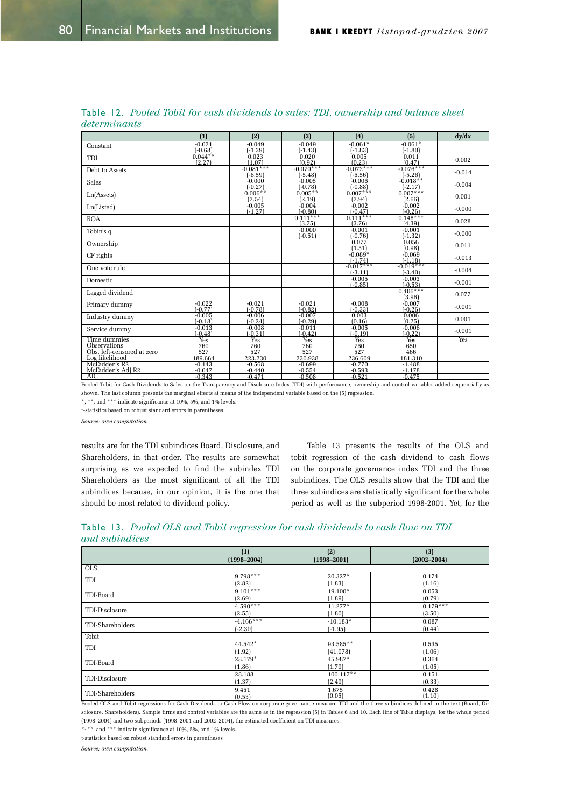|                                                                                                                                                                 | (1)                    | (2)                      | (3)                      | (4)                        | (5)                        | dy/dx    |
|-----------------------------------------------------------------------------------------------------------------------------------------------------------------|------------------------|--------------------------|--------------------------|----------------------------|----------------------------|----------|
| Constant                                                                                                                                                        | $-0.021$               | $-0.049$                 | $-0.049$                 | $-0.061*$                  | $-0.061*$                  |          |
| TDI                                                                                                                                                             | $(-0.68)$<br>$0.044**$ | $(-1.39)$<br>0.023       | $(-1.43)$<br>0.020       | $(-1.83)$<br>0.005         | $(-1.80)$<br>0.011         |          |
|                                                                                                                                                                 | (2.27)                 | (1.07)                   | (0.92)                   | $\frac{(0.23)}{-0.072***}$ | $\frac{(0.47)}{-0.076***}$ | 0.002    |
| Debt to Assets                                                                                                                                                  |                        | $-0.081***$<br>$(-6.59)$ | $-0.070***$<br>$(-5.48)$ | $(-5.56)$                  | $(-5.26)$                  | $-0.014$ |
| Sales                                                                                                                                                           |                        | $-0.000$                 | $-0.005$                 | $-0.006$                   | $-0.018**$                 |          |
|                                                                                                                                                                 |                        | $(-0.27)$                | $(-0.78)$                | $\frac{(-0.88)}{0.007***}$ | $\frac{(-2.17)}{0.007***}$ | $-0.004$ |
| Ln(A <sub>s</sub> )                                                                                                                                             |                        | $0.006**$                | $0.005**$                |                            |                            | 0.001    |
|                                                                                                                                                                 |                        | (2.54)<br>$-0.005$       | (2.19)<br>$-0.004$       | (2.94)<br>$-0.002$         | (2.66)<br>$-0.002$         |          |
| Ln(Listed)                                                                                                                                                      |                        | $(-1.27)$                | $(-0.80)$                | $(-0.47)$                  | $(-0.26)$                  | $-0.000$ |
| <b>ROA</b>                                                                                                                                                      |                        |                          | $0.111***$               | $0.111***$                 | $0.148***$                 | 0.028    |
|                                                                                                                                                                 |                        |                          | (3.75)                   | (3.76)                     | (4.39)                     |          |
| Tobin's q                                                                                                                                                       |                        |                          | $-0.000$<br>$(-0.51)$    | $-0.001$<br>$(-0.76)$      | $-0.001$<br>$(-1.32)$      | $-0.000$ |
| Ownership                                                                                                                                                       |                        |                          |                          | 0.077                      | 0.056                      |          |
|                                                                                                                                                                 |                        |                          |                          | (1.51)                     | (0.98)                     | 0.011    |
| CF rights                                                                                                                                                       |                        |                          |                          | $-0.089*$<br>$(-1.74)$     | $-0.069$                   | $-0.013$ |
|                                                                                                                                                                 |                        |                          |                          | $-0.017***$                | $(-1.18)$<br>$-0.019***$   |          |
| One vote rule                                                                                                                                                   |                        |                          |                          | $(-3.11)$                  | $(-3.40)$                  | $-0.004$ |
| Domestic                                                                                                                                                        |                        |                          |                          | $-0.005$                   | $-0.003$                   | $-0.001$ |
|                                                                                                                                                                 |                        |                          |                          | $(-0.85)$                  | $(-0.53)$                  |          |
| Lagged dividend                                                                                                                                                 |                        |                          |                          |                            | $0.406***$<br>(3.96)       | 0.077    |
| Primary dummy                                                                                                                                                   | $-0.022$               | $-0.021$                 | $-0.021$                 | $-0.008$                   | $-0.007$                   |          |
|                                                                                                                                                                 | $(-0.77)$              | $(-0.78)$                | $(-0.82)$                | $(-0.33)$                  | $(-0.26)$                  | $-0.001$ |
| Industry dummy                                                                                                                                                  | $-0.005$<br>$(-0.18)$  | $-0.006$<br>$(-0.24)$    | $-0.007$<br>$(-0.29)$    | 0.003<br>(0.16)            | 0.006<br>(0.25)            | 0.001    |
|                                                                                                                                                                 | $-0.013$               | $-0.008$                 | $-0.011$                 | $-0.005$                   | $-0.006$                   |          |
| Service dummy                                                                                                                                                   | $(-0.48)$              | $(-0.31)$                | (-0.42)                  | $(-0.19)$                  | (-0.22)                    | $-0.001$ |
| Time dummies                                                                                                                                                    | Yes <sup></sup>        | Yes <sup></sup>          | Yes <sup>-</sup>         | <b>Yes</b>                 | Yes <sup></sup>            | Yes      |
| <b>Observations</b>                                                                                                                                             | 760                    | 760                      | 760                      | 760                        | 650                        |          |
| Obs. left-censored at zero                                                                                                                                      | 527                    | 527                      | 527                      | 527                        | 466                        |          |
| Log likelihood                                                                                                                                                  | 189.664                | 223.230                  | 230.938                  | 236.609                    | 181.310                    |          |
| McFadden's R2                                                                                                                                                   | $-0.143$               | $-0.568$                 | $-0.699$                 | $-0.770$                   | $-1.488$                   |          |
| McFadden's Adj R2                                                                                                                                               | $-0.047$               | $-0.440$                 | $-0.554$                 | $-0.593$                   | $-1.178$                   |          |
| AIC                                                                                                                                                             | $-0.343$               | $-0.471$                 | $-0.508$                 | $-0.521$                   | $-0.475$                   |          |
| Pooled Tobit for Cash Dividends to Sales on the Transparency and Disclosure Index (TDI) with performance, ownership and control variables added sequentially as |                        |                          |                          |                            |                            |          |

|              |  |  |  |  | <b>Table 12.</b> Pooled Tobit for cash dividends to sales: TDI, ownership and balance sheet |  |  |
|--------------|--|--|--|--|---------------------------------------------------------------------------------------------|--|--|
| determinants |  |  |  |  |                                                                                             |  |  |

shown. The last column presents the marginal effects at means of the independent variable based on the (5) regression.

\*, \*\*, and \*\*\* indicate significance at 10%, 5%, and 1% levels.

t-statistics based on robust standard errors in parentheses

 $Source: own computation$ 

results are for the TDI subindices Board, Disclosure, and Shareholders, in that order. The results are somewhat surprising as we expected to find the subindex TDI Shareholders as the most significant of all the TDI subindices because, in our opinion, it is the one that should be most related to dividend policy.

Table 13 presents the results of the OLS and tobit regression of the cash dividend to cash flows on the corporate governance index TDI and the three subindices. The OLS results show that the TDI and the three subindices are statistically significant for the whole period as well as the subperiod 1998-2001. Yet, for the

|                | Table 13. Pooled OLS and Tobit regression for cash dividends to cash flow on TDI |  |  |  |  |  |  |  |
|----------------|----------------------------------------------------------------------------------|--|--|--|--|--|--|--|
| and subindices |                                                                                  |  |  |  |  |  |  |  |

|                  | (1)             | (2)             | (3)                                                                                                                                                           |
|------------------|-----------------|-----------------|---------------------------------------------------------------------------------------------------------------------------------------------------------------|
|                  | $(1998 - 2004)$ | $(1998 - 2001)$ | $(2002 - 2004)$                                                                                                                                               |
| <b>OLS</b>       |                 |                 |                                                                                                                                                               |
| TDI              | $9.798***$      | $20.327*$       | 0.174                                                                                                                                                         |
|                  | (2.82)          | (1.83)          | (1.16)                                                                                                                                                        |
| TDI-Board        | $9.101***$      | $19.100*$       | 0.053                                                                                                                                                         |
|                  | (2.69)          | (1.89)          | (0.79)                                                                                                                                                        |
| TDI-Disclosure   | $4.590***$      | $11.277*$       | $0.179***$                                                                                                                                                    |
|                  | (2.55)          | (1.80)          | (3.50)                                                                                                                                                        |
| TDI-Shareholders | $-4.166***$     | $-10.183*$      | 0.087                                                                                                                                                         |
|                  | $(-2.30)$       | $(-1.95)$       | (0.44)                                                                                                                                                        |
| Tobit            |                 |                 |                                                                                                                                                               |
| TDI              | 44.542*         | 93.585**        | 0.535                                                                                                                                                         |
|                  | (1.92)          | (41.078)        | (1.06)                                                                                                                                                        |
| TDI-Board        | 28.179*         | 45.987*         | 0.364                                                                                                                                                         |
|                  | (1.86)          | (1.79)          | (1.05)                                                                                                                                                        |
| TDI-Disclosure   | 28.188          | $100.117**$     | 0.151                                                                                                                                                         |
|                  | (1.37)          | (2.49)          | (0.33)                                                                                                                                                        |
| TDI-Shareholders | 9.451           | 1.675           | 0.428                                                                                                                                                         |
|                  | (0.53)          | (0.05)          | (1.10)                                                                                                                                                        |
|                  |                 |                 | Pooled OLS and Tobit regressions for Cash Dividends to Cash Flow on corporate governance measure TDI and the three subindices defined in the text (Board, Di- |

sclosure, Shareholders). Sample firms and control variables are the same as in the regression (5) in Tables 6 and 10. Each line of Table displays, for the whole period (1998-2004) and two subperiods (1998-2001 and 2002-2004), the estimated coefficient on TDI measures

\*, \*\*, and \*\*\* indicate significance at 10%, 5%, and 1% levels.

t-statistics based on robust standard errors in parentheses

*Source: own computation.*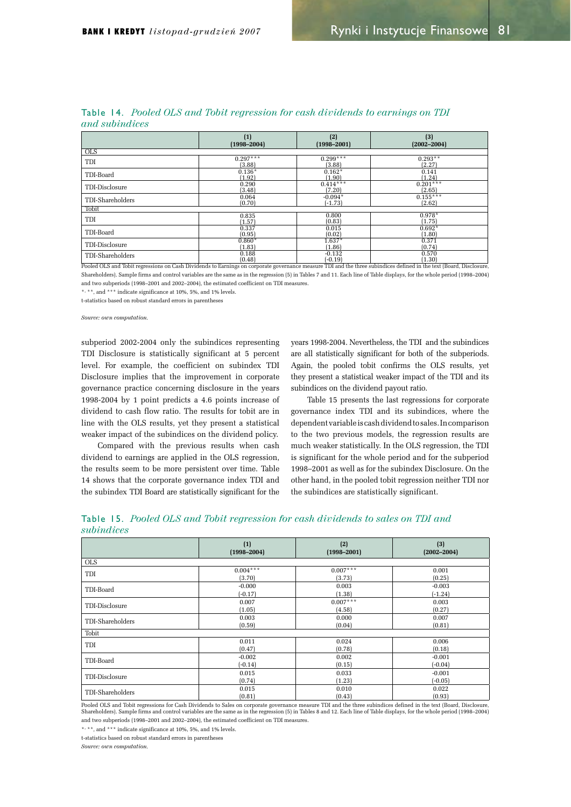|                  | (1)             | (2)             | (3)             |
|------------------|-----------------|-----------------|-----------------|
|                  | $(1998 - 2004)$ | $(1998 - 2001)$ | $(2002 - 2004)$ |
| $_{\text{OLS}}$  |                 |                 |                 |
| TDI              | $0.297***$      | $0.299***$      | $0.293**$       |
|                  | (3.88)          | (3.88)          | (2.27)          |
| TDI-Board        | $0.136*$        | $0.162*$        | 0.141           |
|                  | (1.92)          | (1.90)          | (1.24)          |
| TDI-Disclosure   | 0.290           | $0.414***$      | $0.201***$      |
|                  | (3.48)          | (7.20)          | (2.65)          |
| TDI-Shareholders | 0.064           | $-0.094*$       | $0.155***$      |
|                  | (0.70)          | $(-1.73)$       | (2.62)          |
| Tobit            |                 |                 |                 |
| TDI              | 0.835           | 0.800           | $0.978*$        |
|                  | (1.57)          | (0.83)          | (1.75)          |
| TDI-Board        | 0.337           | 0.015           | $0.692*$        |
|                  | (0.95)          | (0.02)          | (1.80)          |
| TDI-Disclosure   | $0.860*$        | $1.637*$        | 0.371           |
|                  | (1.83)          | (1.86)          | (0.74)          |
| TDI-Shareholders | 0.188           | $-0.132$        | 0.570           |
|                  | (0.48)          | $-0.19$         | (1.30)          |

Table 14. Pooled OLS and Tobit rearession for cash dividends to earnings on TDI

Shareholders). Sample firms and control variables are the same as in the regression (5) in Tables 7 and 11. Each line of Table displays, for the whole period (1998-2004) and two subperiods  $(1998-2001$  and  $2002-2004)$  the estimated coefficient on TDI measures

\*, \*\*, and \*\*\* indicate significance at 10%, 5%, and 1% levels.

t-statistics based on robust standard errors in parentheses

*Source: own computation.* 

subperiod 2002-2004 only the subindices representing TDI Disclosure is statistically significant at 5 percent level. For example, the coefficient on subindex TDI Disclosure implies that the improvement in corporate governance practice concerning disclosure in the years 1998-2004 by 1 point predicts a 4.6 points increase of dividend to cash flow ratio. The results for tobit are in line with the OLS results, yet they present a statistical weaker impact of the subindices on the dividend policy.

Compared with the previous results when cash dividend to earnings are applied in the OLS regression, the results seem to be more persistent over time. Table 14 shows that the corporate governance index TDI and the subindex TDI Board are statistically significant for the years 1998-2004. Nevertheless, the TDI and the subindices are all statistically significant for both of the subperiods. Again, the pooled tobit confirms the OLS results, yet they present a statistical weaker impact of the TDI and its subindices on the dividend payout ratio.

Table 15 presents the last regressions for corporate governance index TDI and its subindices, where the dependent variable is cash dividend to sales. In comparison to the two previous models, the regression results are much weaker statistically. In the OLS regression, the TDI is significant for the whole period and for the subperiod 1998-2001 as well as for the subindex Disclosure. On the other hand, in the pooled tobit regression neither TDI nor the subindices are statistically significant.

|            |  |  | <b>Table 15.</b> Pooled OLS and Tobit regression for cash dividends to sales on TDI and |  |  |  |  |
|------------|--|--|-----------------------------------------------------------------------------------------|--|--|--|--|
| subindices |  |  |                                                                                         |  |  |  |  |

|                  | (1)             | (2)             | (3)             |
|------------------|-----------------|-----------------|-----------------|
|                  | $(1998 - 2004)$ | $(1998 - 2001)$ | $(2002 - 2004)$ |
| <b>OLS</b>       |                 |                 |                 |
| TDI              | $0.004***$      | $0.007***$      | 0.001           |
|                  | (3.70)          | (3.73)          | (0.25)          |
| TDI-Board        | $-0.000$        | 0.003           | $-0.003$        |
|                  | $(-0.17)$       | (1.38)          | $(-1.24)$       |
| TDI-Disclosure   | 0.007           | $0.007***$      | 0.003           |
|                  | (1.05)          | (4.58)          | (0.27)          |
| TDI-Shareholders | 0.003           | 0.000           | 0.007           |
|                  | (0.59)          | (0.04)          | (0.81)          |
| Tobit            |                 |                 |                 |
| TDI              | 0.011           | 0.024           | 0.006           |
|                  | (0.47)          | (0.78)          | (0.18)          |
| TDI-Board        | $-0.002$        | 0.002           | $-0.001$        |
|                  | $(-0.14)$       | (0.15)          | $(-0.04)$       |
| TDI-Disclosure   | 0.015           | 0.033           | $-0.001$        |
|                  | (0.74)          | (1.23)          | $-0.05$         |
| TDI-Shareholders | 0.015           | 0.010           | 0.022           |
|                  | (0.81)          | (0.43)          | (0.93)          |

Pooled OLS and Tobit regressions for Cash Dividends to Sales on corporate governance measure TDI and the three subindices defined in the text (Board, Disclosure, Shareholders). Sample firms and control variables are the same as in the regression (5) in Tables 8 and 12. Each line of Table displays, for the whole period (1998-2004) and two subperiods (1998-2001 and 2002-2004), the estimated coefficient on TDI measures.

\*, \*\*, and \*\*\* indicate significance at 10%, 5%, and 1% levels.

t-statistics based on robust standard errors in parentheses

 $Source: own commutation$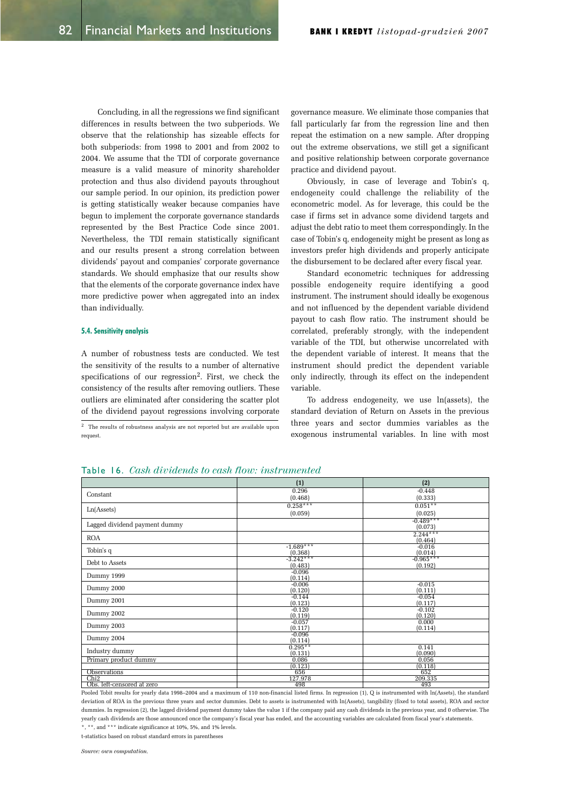Concluding, in all the regressions we find significant differences in results between the two subperiods. We observe that the relationship has sizeable effects for both subperiods: from 1998 to 2001 and from 2002 to 2004. We assume that the TDI of corporate governance measure is a valid measure of minority shareholder protection and thus also dividend payouts throughout our sample period. In our opinion, its prediction power is getting statistically weaker because companies have begun to implement the corporate governance standards represented by the Best Practice Code since 2001. Nevertheless, the TDI remain statistically significant and our results present a strong correlation between dividends' payout and companies' corporate governance standards. We should emphasize that our results show that the elements of the corporate governance index have more predictive power when aggregated into an index than individually.

#### 5.4. Sensitivity analysis

A number of robustness tests are conducted. We test the sensitivity of the results to a number of alternative specifications of our regression<sup>2</sup>. First, we check the consistency of the results after removing outliers. These outliers are eliminated after considering the scatter plot of the dividend payout regressions involving corporate

 $\overline{\text{2}^2}$  The results of robustness analysis are not reported but are available upon request.

governance measure. We eliminate those companies that fall particularly far from the regression line and then repeat the estimation on a new sample. After dropping out the extreme observations, we still get a significant and positive relationship between corporate governance practice and dividend payout.

Obviously, in case of leverage and Tobin's q, endogeneity could challenge the reliability of the econometric model. As for leverage, this could be the case if firms set in advance some dividend targets and adjust the debt ratio to meet them correspondingly. In the case of Tobin's q, endogeneity might be present as long as investors prefer high dividends and properly anticipate the disbursement to be declared after every fiscal year.

Standard econometric techniques for addressing possible endogeneity require identifying a good instrument. The instrument should ideally be exogenous and not influenced by the dependent variable dividend payout to cash flow ratio. The instrument should be correlated, preferably strongly, with the independent variable of the TDI, but otherwise uncorrelated with the dependent variable of interest. It means that the instrument should predict the dependent variable only indirectly, through its effect on the independent variable.

To address endogeneity, we use  $ln(assets)$ , the standard deviation of Return on Assets in the previous three years and sector dummies variables as the exogenous instrumental variables. In line with most

| <b>Table 16.</b> Cash dividends to cash flow: instrumented |  |  |  |  |
|------------------------------------------------------------|--|--|--|--|
|------------------------------------------------------------|--|--|--|--|

|                               | (1)                  | (2)                    |
|-------------------------------|----------------------|------------------------|
| Constant                      | 0.296                | $-0.448$               |
|                               | (0.468)              | (0.333)                |
|                               | $0.258***$           | $0.051**$              |
| Ln(A <sub>s</sub> )           | (0.059)              | (0.025)                |
| Lagged dividend payment dummy |                      | $-0.489***$<br>(0.073) |
| <b>ROA</b>                    |                      | $2.244***$             |
|                               | $-1.689***$          | (0.464)<br>$-0.016$    |
| Tobin's q                     | (0.368)              | (0.014)                |
|                               | $-3.242***$          | $-0.965***$            |
| Debt to Assets                | (0.483)              | (0.192)                |
| Dummy 1999                    | $-0.096$<br>(0.114)  |                        |
|                               | $-0.006$             | $-0.015$               |
| Dummy 2000                    | (0.120)              | (0.111)                |
| Dummy 2001                    | $-0.144$             | $-0.054$               |
|                               | (0.123)              | (0.117)                |
| Dummy 2002                    | $-0.120$<br>(0.119)  | $-0.102$<br>(0.120)    |
|                               | $-0.057$             | 0.000                  |
| Dummy 2003                    | (0.117)              | (0.114)                |
|                               | $-0.096$             |                        |
| Dummy 2004                    | (0.114)              |                        |
| Industry dummy                | $0.295**$<br>(0.131) | 0.141<br>(0.090)       |
| Primary product dummy         | 0.086                | 0.056                  |
|                               | (0.123)              | (0.118)                |
| Observations                  | 656                  | 652                    |
| Chi2                          | 127.978              | 209.335                |
| Obs. left-censored at zero    | 498                  | 493                    |

Pooled Tobit results for yearly data 1998–2004 and a maximum of 110 non-financial listed firms. In regression (1), Q is instrumented with  $\ln(A$ ssets), the standard deviation of ROA in the previous three years and sector dummies. Debt to assets is instrumented with ln(Assets), langibility (fixed to total assets), ROA and sector dummies. In regression (2), the lagged dividend payment dummy takes the value 1 if the company paid any cash dividends in the previous year, and 0 otherwise. The yearly cash dividends are those announced once the company's fiscal year has ended, and the accounting variables are calculated from fiscal year's statements. \*, \*\*, and \*\*\* indicate significance at 10%, 5%, and 1% levels.

t-statistics based on robust standard errors in parenthese

 $Source: own$ *computation*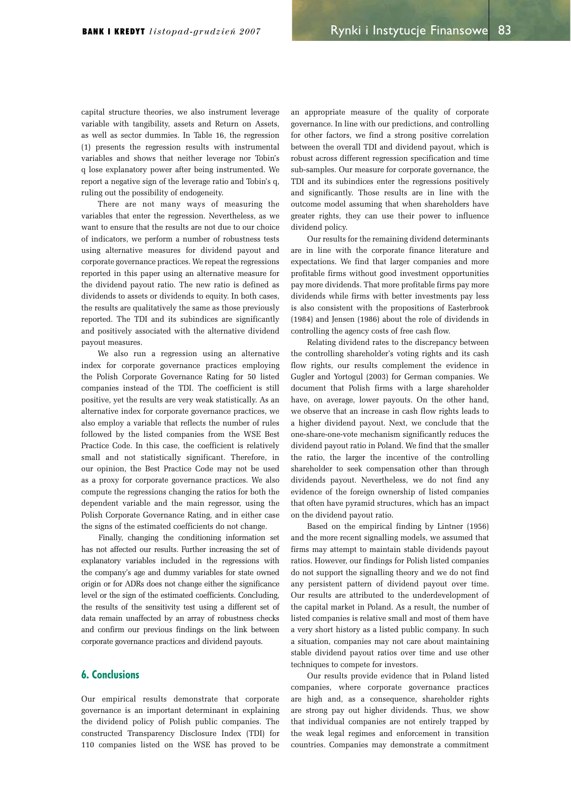capital structure theories, we also instrument leverage variable with tangibility, assets and Return on Assets, as well as sector dummies. In Table 16, the regression  $(1)$  presents the regression results with instrumental variables and shows that neither leverage nor Tobin's q lose explanatory power after being instrumented. We report a negative sign of the leverage ratio and Tobin's q, ruling out the possibility of endogeneity.

There are not many ways of measuring the variables that enter the regression. Nevertheless, as we want to ensure that the results are not due to our choice of indicators, we perform a number of robustness tests using alternative measures for dividend payout and corporate governance practices. We repeat the regressions reported in this paper using an alternative measure for the dividend payout ratio. The new ratio is defined as dividends to assets or dividends to equity. In both cases, the results are qualitatively the same as those previously reported. The TDI and its subindices are significantly and positively associated with the alternative dividend payout measures.

We also run a regression using an alternative index for corporate governance practices employing the Polish Corporate Governance Rating for 50 listed companies instead of the TDI. The coefficient is still positive, yet the results are very weak statistically. As an alternative index for corporate governance practices, we also employ a variable that reflects the number of rules followed by the listed companies from the WSE Best Practice Code. In this case, the coefficient is relatively small and not statistically significant. Therefore, in our opinion, the Best Practice Code may not be used as a proxy for corporate governance practices. We also compute the regressions changing the ratios for both the dependent variable and the main regressor, using the Polish Corporate Governance Rating, and in either case the signs of the estimated coefficients do not change.

Finally, changing the conditioning information set has not affected our results. Further increasing the set of explanatory variables included in the regressions with the company's age and dummy variables for state owned origin or for ADRs does not change either the significance level or the sign of the estimated coefficients. Concluding, the results of the sensitivity test using a different set of data remain unaffected by an array of robustness checks and confirm our previous findings on the link between corporate governance practices and dividend payouts.

## 6. Conclusions

Our empirical results demonstrate that corporate governance is an important determinant in explaining the dividend policy of Polish public companies. The constructed Transparency Disclosure Index (TDI) for 110 companies listed on the WSE has proved to be

an appropriate measure of the quality of corporate governance. In line with our predictions, and controlling for other factors, we find a strong positive correlation between the overall TDI and dividend payout, which is robust across different regression specification and time sub-samples. Our measure for corporate governance, the TDI and its subindices enter the regressions positively and significantly. Those results are in line with the outcome model assuming that when shareholders have greater rights, they can use their power to influence dividend policy.

Our results for the remaining dividend determinants are in line with the corporate finance literature and expectations. We find that larger companies and more profitable firms without good investment opportunities pay more dividends. That more profitable firms pay more dividends while firms with better investments pay less is also consistent with the propositions of Easterbrook  $(1984)$  and Jensen  $(1986)$  about the role of dividends in controlling the agency costs of free cash flow.

Relating dividend rates to the discrepancy between the controlling shareholder's voting rights and its cash flow rights, our results complement the evidence in Gugler and Yortogul (2003) for German companies. We document that Polish firms with a large shareholder have, on average, lower payouts. On the other hand, we observe that an increase in cash flow rights leads to a higher dividend payout. Next, we conclude that the one-share-one-vote mechanism significantly reduces the dividend payout ratio in Poland. We find that the smaller the ratio, the larger the incentive of the controlling shareholder to seek compensation other than through dividends payout. Nevertheless, we do not find any evidence of the foreign ownership of listed companies that often have pyramid structures, which has an impact on the dividend payout ratio.

Based on the empirical finding by Lintner (1956) and the more recent signalling models, we assumed that firms may attempt to maintain stable dividends payout ratios. However, our findings for Polish listed companies do not support the signalling theory and we do not find any persistent pattern of dividend payout over time. Our results are attributed to the underdevelopment of the capital market in Poland. As a result, the number of listed companies is relative small and most of them have a very short history as a listed public company. In such a situation, companies may not care about maintaining stable dividend payout ratios over time and use other techniques to compete for investors.

Our results provide evidence that in Poland listed companies, where corporate governance practices are high and, as a consequence, shareholder rights are strong pay out higher dividends. Thus, we show that individual companies are not entirely trapped by the weak legal regimes and enforcement in transition countries. Companies may demonstrate a commitment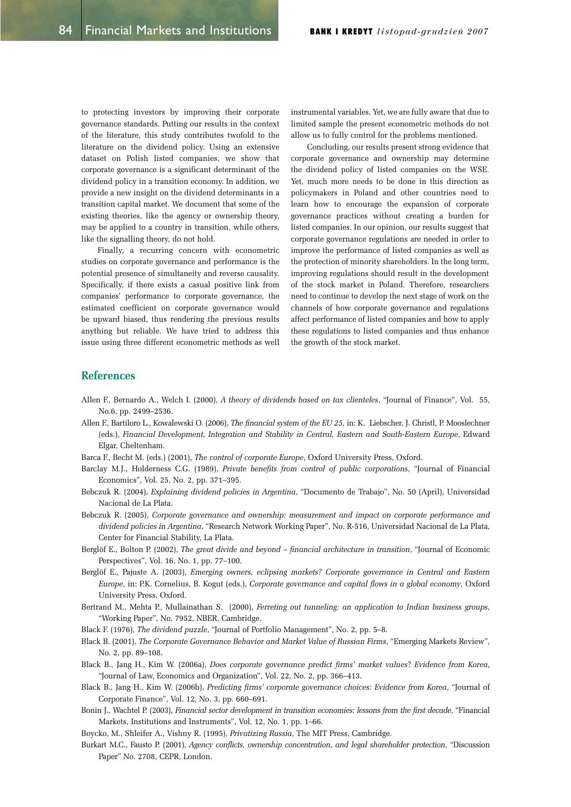to protecting investors by improving their corporate governance standards. Putting our results in the context of the literature, this study contributes twofold to the literature on the dividend policy. Using an extensive dataset on Polish listed companies, we show that corporate governance is a significant determinant of the dividend policy in a transition economy. In addition, we provide a new insight on the dividend determinants in a transition capital market. We document that some of the existing theories, like the agency or ownership theory, may be applied to a country in transition, while others, like the signalling theory, do not hold.

Finally, a recurring concern with econometric studies on corporate governance and performance is the potential presence of simultaneity and reverse causality. Specifically, if there exists a casual positive link from companies' performance to corporate governance, the estimated coefficient on corporate governance would be upward biased, thus rendering the previous results anything but reliable. We have tried to address this issue using three different econometric methods as well instrumental variables. Yet, we are fully aware that due to limited sample the present econometric methods do not allow us to fully control for the problems mentioned.

Concluding, our results present strong evidence that corporate governance and ownership may determine the dividend policy of listed companies on the WSE. Yet, much more needs to be done in this direction as policymakers in Poland and other countries need to learn how to encourage the expansion of corporate governance practices without creating a burden for listed companies. In our opinion, our results suggest that corporate governance regulations are needed in order to improve the performance of listed companies as well as the protection of minority shareholders. In the long term, improving regulations should result in the development of the stock market in Poland. Therefore, researchers need to continue to develop the next stage of work on the channels of how corporate governance and regulations affect performance of listed companies and how to apply these regulations to listed companies and thus enhance the growth of the stock market.

## **References**

- Allen F., Bernardo A., Welch I. (2000), A theory of dividends based on tax clienteles, "Journal of Finance", Vol. 55, No.6, pp. 2499-2536.
- Allen F., Bartiloro L., Kowalewski O. (2006), The financial system of the EU 25, in: K. Liebscher, J. Christl, P. Mooslechner HGV*Financial Development, Integration and Stability in Central, Eastern and South-Eastern Europe*, Edward Elgar, Cheltenham.
- Barca F., Becht M. (eds.) (2001). *The control of corporate Europe*, Oxford University Press, Oxford.
- Barclay M.J., Holderness C.G. (1989), *Private benefits from control of public corporations*, "Journal of Financial Economics", Vol. 25, No. 2, pp. 371-395.
- Bebczuk R. (2004), *Explaining dividend policies in Argentina*, "Documento de Trabajo", No. 50 (April), Universidad Nacional de La Plata.
- Bebczuk R. (2005), *Corporate governance and ownership: measurement and impact on corporate performance and dividend policies in Argentina*, "Research Network Working Paper", No. R-516, Universidad Nacional de La Plata, Center for Financial Stability, La Plata.
- Berglöf E., Bolton P. (2002), *The great divide and beyond financial architecture in transition*, "Journal of Economic Perspectives", Vol. 16, No. 1, pp. 77-100.
- Berglöf E., Pajuste A. (2003), *Emerging owners, eclipsing markets? Corporate governance in Central and Eastern Europe*, in: P.K. Cornelius, B. Kogut (eds.), *Corporate governance and capital flows in a global economy*, Oxford University Press, Oxford.
- Bertrand M., Mehta P., Mullainathan S. (2000), *Ferreting out tunneling: an application to Indian business groups*, "Working Paper", No. 7952, NBER, Cambridge.
- Black F. (1976), *The dividend puzzle*, "Journal of Portfolio Management", No. 2, pp. 5–8.
- Black B. (2001), *The Corporate Governance Behavior and Market Value of Russian Firms*, "Emerging Markets Review", No. 2, pp. 89-108.
- Black B., Jang H., Kim W. (2006a), *Does corporate governance predict firms' market values? Evidence from Korea*, "Journal of Law, Economics and Organization", Vol. 22, No. 2, pp. 366-413.
- Black B., Jang H., Kim W. (2006b), *Predicting firms' corporate governance choices: Evidence from Korea*, "Journal of Corporate Finance", Vol. 12, No. 3, pp. 660-691.
- Bonin L. Wachtel P. (2003). *Financial sector development in transition economies: lessons from the first decade*, "Financial" Markets, Institutions and Instruments", Vol. 12, No. 1, pp. 1–66.
- Boycko, M., Shleifer A., Vishny R. (1995), *Privatizing Russia*, The MIT Press, Cambridge.
- Burkart M.C., Fausto P. (2001), Agency conflicts, ownership concentration, and legal shareholder protection, "Discussion Paper" No. 2708, CEPR, London.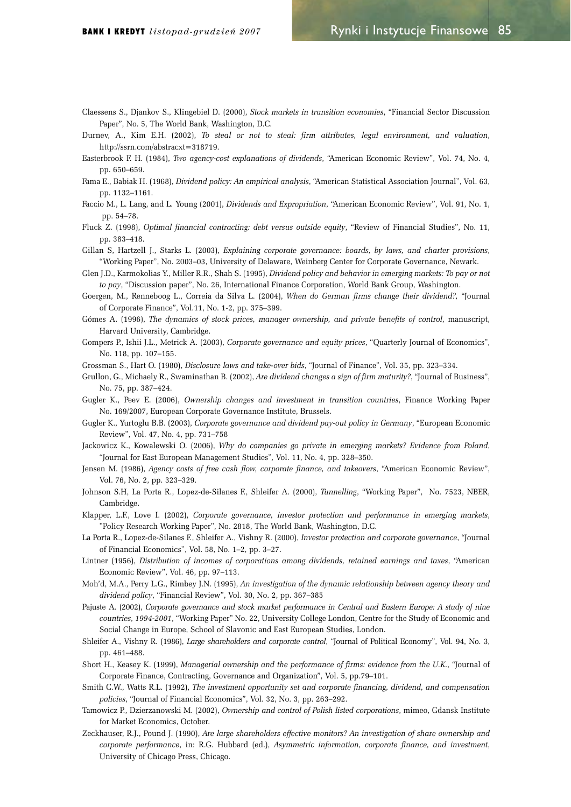- Claessens S., Djankov S., Klingebiel D. (2000), *Stock markets in transition economies*, "Financial Sector Discussion Paper", No. 5, The World Bank, Washington, D.C.
- Durnev, A., Kim E.H. (2002), To steal or not to steal: firm attributes, legal environment, and valuation, http://ssrn.com/abstracxt=318719.
- Easterbrook F. H. (1984), *Two agency-cost explanations of dividends*, "American Economic Review", Vol. 74, No. 4, pp. 650-659.
- Fama E., Babiak H. (1968), *Dividend policy: An empirical analysis*, "American Statistical Association Journal", Vol. 63, pp. 1132-1161.
- Faccio M., L. Lang, and L. Young (2001), *Dividends and Expropriation*, "American Economic Review", Vol. 91, No. 1, pp. 54-78.
- Fluck Z. (1998), *Optimal financial contracting: debt versus outside equity*, "Review of Financial Studies", No. 11, pp. 383-418.
- Gillan S, Hartzell J., Starks L. (2003), *Explaining corporate governance: boards, by laws, and charter provisions*, "Working Paper", No. 2003-03, University of Delaware, Weinberg Center for Corporate Governance, Newark.
- Glen J.D., Karmokolias Y., Miller R.R., Shah S. (1995), *Dividend policy and behavior in emerging markets: To pay or not to pay*, "Discussion paper", No. 26, International Finance Corporation, World Bank Group, Washington.
- Goergen, M., Renneboog L., Correia da Silva L. (2004), When do German firms change their dividend?, "Journal of Corporate Finance", Vol.11, No. 1-2, pp. 375-399.
- Gómes A. (1996), *The dynamics of stock prices, manager ownership, and private benefits of control*, manuscript, Harvard University, Cambridge.
- Gompers P., Ishii J.L., Metrick A. (2003), *Corporate governance and equity prices*, "Quarterly Journal of Economics", No. 118, pp. 107-155.
- Grossman S., Hart O. (1980), *Disclosure laws and take-over bids*, "Journal of Finance", Vol. 35, pp. 323-334.
- Grullon, G., Michaely R., Swaminathan B. (2002), *Are dividend changes a sign of firm maturity?*, "Journal of Business", No. 75, pp. 387-424.
- Gugler K., Peev E. (2006), *Ownership changes and investment in transition countries*, Finance Working Paper No. 169/2007, European Corporate Governance Institute, Brussels.
- Gugler K., Yurtoglu B.B. (2003), *Corporate governance and dividend pay-out policy in Germany*, "European Economic Review", Vol. 47, No. 4, pp. 731-758
- Jackowicz K., Kowalewski O. (2006), Why do companies go private in emerging markets? Evidence from Poland, "Journal for East European Management Studies", Vol. 11, No. 4, pp. 328–350.
- *Lensen M. (1986), Agency costs of free cash flow, corporate finance, and takeovers*, "American Economic Review", Vol. 76, No. 2, pp. 323-329.
- Johnson S.H, La Porta R., Lopez-de-Silanes F., Shleifer A. (2000), Tunnelling, "Working Paper", No. 7523, NBER, Cambridge.
- Klapper, L.F., Love I. (2002), *Corporate governance, investor protection and performance in emerging markets*, "Policy Research Working Paper", No. 2818, The World Bank, Washington, D.C.
- La Porta R., Lopez-de-Silanes F., Shleifer A., Vishny R. (2000), *Investor protection and corporate governance*, "Journal of Financial Economics", Vol. 58, No. 1-2, pp. 3-27.
- Lintner (1956), *Distribution of incomes of corporations among dividends, retained earnings and taxes*, "American Economic Review", Vol. 46, pp. 97-113.
- Moh'd, M.A., Perry L.G., Rimbey J.N. (1995). An investigation of the dynamic relationship between agency theory and *dividend policy*, "Financial Review", Vol. 30, No. 2, pp. 367-385
- Pajuste A. (2002), *Corporate governance and stock market performance in Central and Eastern Europe: A study of nine countries, 1994-2001*, "Working Paper" No. 22, University College London, Centre for the Study of Economic and Social Change in Europe, School of Slavonic and East European Studies, London.
- Shleifer A., Vishny R. (1986), *Large shareholders and corporate control*, "Journal of Political Economy", Vol. 94, No. 3, pp. 461-488.
- Short H., Keasey K. (1999), Managerial ownership and the performance of firms: evidence from the U.K., "Journal of Corporate Finance, Contracting, Governance and Organization", Vol. 5, pp.79-101.
- Smith C.W., Watts R.L. (1992), *The investment opportunity set and corporate financing, dividend, and compensation policies*, "Journal of Financial Economics", Vol. 32, No. 3, pp. 263–292.
- Tamowicz P., Dzierzanowski M. (2002). *Ownership and control of Polish listed corporations*, mimeo, Gdansk Institute for Market Economics, October.
- Zeckhauser, R.J., Pound J. (1990), Are large shareholders effective monitors? An investigation of share ownership and *corporate performance*, in: R.G. Hubbard (ed.), *Asymmetric information, corporate finance, and investment*, University of Chicago Press, Chicago.